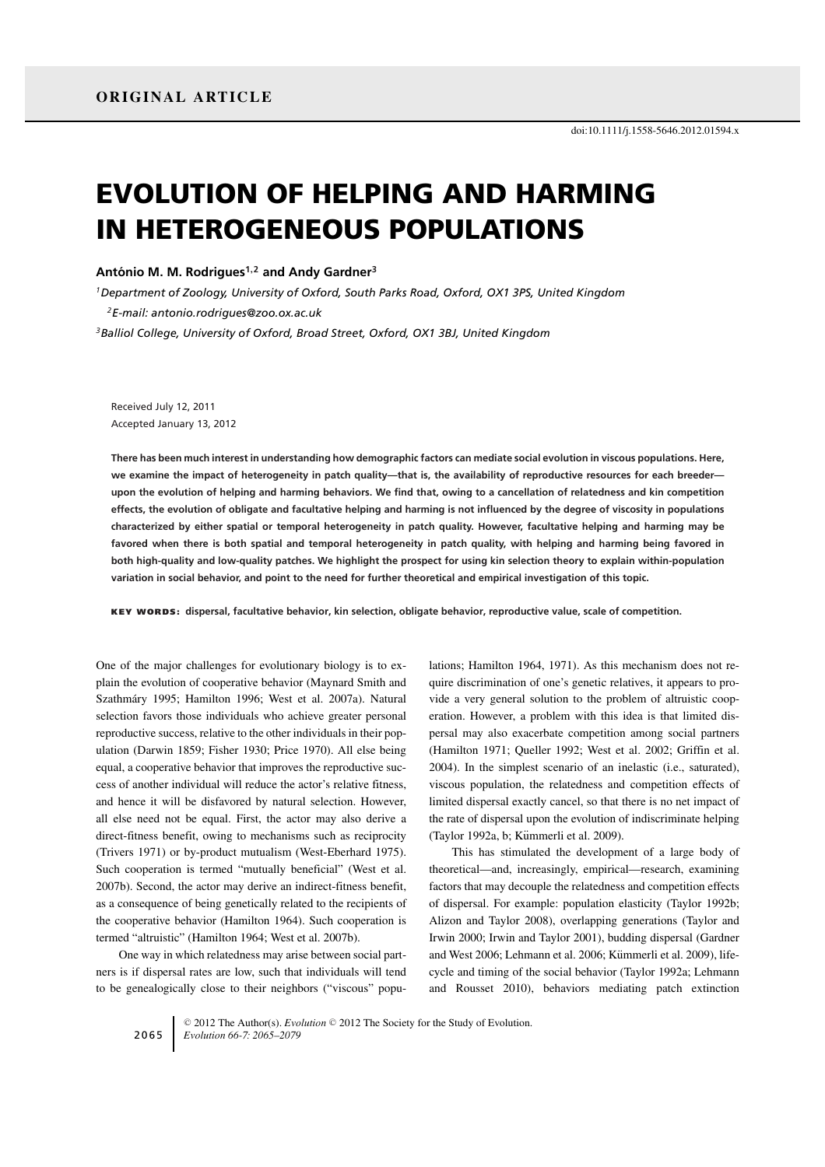# EVOLUTION OF HELPING AND HARMING IN HETEROGENEOUS POPULATIONS

#### **Antonio M. M. Rodrigues ´ <sup>1</sup>**,**<sup>2</sup> and Andy Gardner3**

*1Department of Zoology, University of Oxford, South Parks Road, Oxford, OX1 3PS, United Kingdom 2E-mail: antonio.rodrigues@zoo.ox.ac.uk*

*3Balliol College, University of Oxford, Broad Street, Oxford, OX1 3BJ, United Kingdom*

Received July 12, 2011 Accepted January 13, 2012

**There has been much interest in understanding how demographic factors can mediate social evolution in viscous populations. Here, we examine the impact of heterogeneity in patch quality—that is, the availability of reproductive resources for each breeder upon the evolution of helping and harming behaviors. We find that, owing to a cancellation of relatedness and kin competition effects, the evolution of obligate and facultative helping and harming is not influenced by the degree of viscosity in populations characterized by either spatial or temporal heterogeneity in patch quality. However, facultative helping and harming may be favored when there is both spatial and temporal heterogeneity in patch quality, with helping and harming being favored in both high-quality and low-quality patches. We highlight the prospect for using kin selection theory to explain within-population variation in social behavior, and point to the need for further theoretical and empirical investigation of this topic.**

KEY WORDS: **dispersal, facultative behavior, kin selection, obligate behavior, reproductive value, scale of competition.**

One of the major challenges for evolutionary biology is to explain the evolution of cooperative behavior (Maynard Smith and Szathmáry 1995; Hamilton 1996; West et al. 2007a). Natural selection favors those individuals who achieve greater personal reproductive success, relative to the other individuals in their population (Darwin 1859; Fisher 1930; Price 1970). All else being equal, a cooperative behavior that improves the reproductive success of another individual will reduce the actor's relative fitness, and hence it will be disfavored by natural selection. However, all else need not be equal. First, the actor may also derive a direct-fitness benefit, owing to mechanisms such as reciprocity (Trivers 1971) or by-product mutualism (West-Eberhard 1975). Such cooperation is termed "mutually beneficial" (West et al. 2007b). Second, the actor may derive an indirect-fitness benefit, as a consequence of being genetically related to the recipients of the cooperative behavior (Hamilton 1964). Such cooperation is termed "altruistic" (Hamilton 1964; West et al. 2007b).

One way in which relatedness may arise between social partners is if dispersal rates are low, such that individuals will tend to be genealogically close to their neighbors ("viscous" populations; Hamilton 1964, 1971). As this mechanism does not require discrimination of one's genetic relatives, it appears to provide a very general solution to the problem of altruistic cooperation. However, a problem with this idea is that limited dispersal may also exacerbate competition among social partners (Hamilton 1971; Queller 1992; West et al. 2002; Griffin et al. 2004). In the simplest scenario of an inelastic (i.e., saturated), viscous population, the relatedness and competition effects of limited dispersal exactly cancel, so that there is no net impact of the rate of dispersal upon the evolution of indiscriminate helping (Taylor 1992a, b; Kümmerli et al. 2009).

This has stimulated the development of a large body of theoretical—and, increasingly, empirical—research, examining factors that may decouple the relatedness and competition effects of dispersal. For example: population elasticity (Taylor 1992b; Alizon and Taylor 2008), overlapping generations (Taylor and Irwin 2000; Irwin and Taylor 2001), budding dispersal (Gardner and West 2006; Lehmann et al. 2006; Kümmerli et al. 2009), lifecycle and timing of the social behavior (Taylor 1992a; Lehmann and Rousset 2010), behaviors mediating patch extinction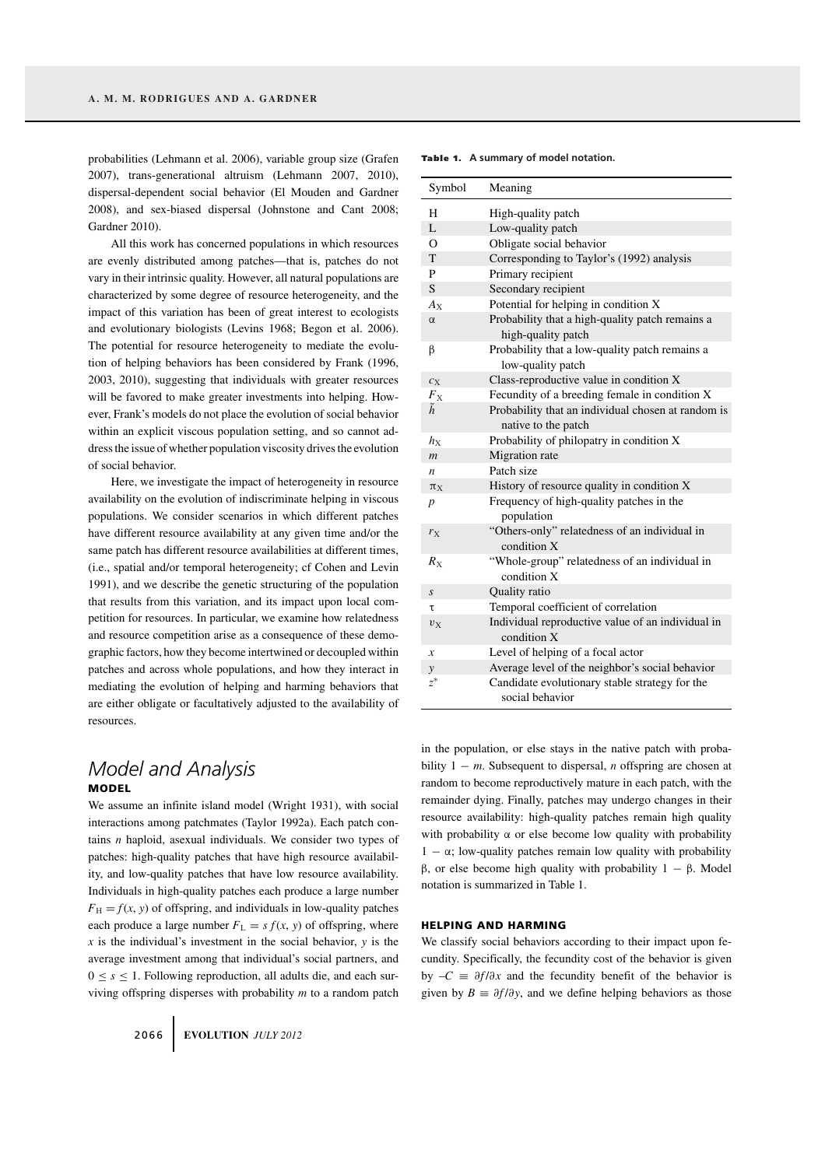probabilities (Lehmann et al. 2006), variable group size (Grafen 2007), trans-generational altruism (Lehmann 2007, 2010), dispersal-dependent social behavior (El Mouden and Gardner 2008), and sex-biased dispersal (Johnstone and Cant 2008; Gardner 2010).

All this work has concerned populations in which resources are evenly distributed among patches—that is, patches do not vary in their intrinsic quality. However, all natural populations are characterized by some degree of resource heterogeneity, and the impact of this variation has been of great interest to ecologists and evolutionary biologists (Levins 1968; Begon et al. 2006). The potential for resource heterogeneity to mediate the evolution of helping behaviors has been considered by Frank (1996, 2003, 2010), suggesting that individuals with greater resources will be favored to make greater investments into helping. However, Frank's models do not place the evolution of social behavior within an explicit viscous population setting, and so cannot address the issue of whether population viscosity drives the evolution of social behavior.

Here, we investigate the impact of heterogeneity in resource availability on the evolution of indiscriminate helping in viscous populations. We consider scenarios in which different patches have different resource availability at any given time and/or the same patch has different resource availabilities at different times, (i.e., spatial and/or temporal heterogeneity; cf Cohen and Levin 1991), and we describe the genetic structuring of the population that results from this variation, and its impact upon local competition for resources. In particular, we examine how relatedness and resource competition arise as a consequence of these demographic factors, how they become intertwined or decoupled within patches and across whole populations, and how they interact in mediating the evolution of helping and harming behaviors that are either obligate or facultatively adjusted to the availability of resources.

## *Model and Analysis* MODEL

We assume an infinite island model (Wright 1931), with social interactions among patchmates (Taylor 1992a). Each patch contains *n* haploid, asexual individuals. We consider two types of patches: high-quality patches that have high resource availability, and low-quality patches that have low resource availability. Individuals in high-quality patches each produce a large number  $F<sub>H</sub> = f(x, y)$  of offspring, and individuals in low-quality patches each produce a large number  $F<sub>L</sub> = s f(x, y)$  of offspring, where  $\bar{x}$  is the individual's investment in the social behavior,  $\bar{y}$  is the average investment among that individual's social partners, and  $0 \leq s \leq 1$ . Following reproduction, all adults die, and each surviving offspring disperses with probability *m* to a random patch Table 1. A summary of model notation.

| Symbol                      | Meaning                                                                   |
|-----------------------------|---------------------------------------------------------------------------|
| H                           | High-quality patch                                                        |
| L                           | Low-quality patch                                                         |
| $\Omega$                    | Obligate social behavior                                                  |
| T                           | Corresponding to Taylor's (1992) analysis                                 |
| P                           | Primary recipient                                                         |
| ${\bf S}$                   | Secondary recipient                                                       |
| $A_{X}$                     | Potential for helping in condition X                                      |
| $\alpha$                    | Probability that a high-quality patch remains a<br>high-quality patch     |
| β                           | Probability that a low-quality patch remains a<br>low-quality patch       |
| $c_{X}$                     | Class-reproductive value in condition X                                   |
| $F_{X}$                     | Fecundity of a breeding female in condition X                             |
| $\tilde{h}$                 | Probability that an individual chosen at random is<br>native to the patch |
| $h_{\rm X}$                 | Probability of philopatry in condition X                                  |
| $\mathfrak{m}$              | Migration rate                                                            |
| n                           | Patch size                                                                |
| $\pi$ <sub>X</sub>          | History of resource quality in condition X                                |
| $\boldsymbol{p}$            | Frequency of high-quality patches in the<br>population                    |
| $r_{\rm X}$                 | "Others-only" relatedness of an individual in<br>condition X              |
| $R_{\rm X}$                 | "Whole-group" relatedness of an individual in<br>condition X              |
| $\mathcal{S}_{\mathcal{S}}$ | <b>Ouality</b> ratio                                                      |
| τ                           | Temporal coefficient of correlation                                       |
| $v_{\rm X}$                 | Individual reproductive value of an individual in<br>condition X          |
| $\mathcal{X}$               | Level of helping of a focal actor                                         |
| y                           | Average level of the neighbor's social behavior                           |
| $z^*$                       | Candidate evolutionary stable strategy for the<br>social behavior         |

in the population, or else stays in the native patch with probability 1 − *m*. Subsequent to dispersal, *n* offspring are chosen at random to become reproductively mature in each patch, with the remainder dying. Finally, patches may undergo changes in their resource availability: high-quality patches remain high quality with probability  $\alpha$  or else become low quality with probability  $1 - \alpha$ ; low-quality patches remain low quality with probability β, or else become high quality with probability  $1 - β$ . Model notation is summarized in Table 1.

#### HELPING AND HARMING

We classify social behaviors according to their impact upon fecundity. Specifically, the fecundity cost of the behavior is given by  $-C \equiv \partial f / \partial x$  and the fecundity benefit of the behavior is given by  $B = \partial f / \partial y$ , and we define helping behaviors as those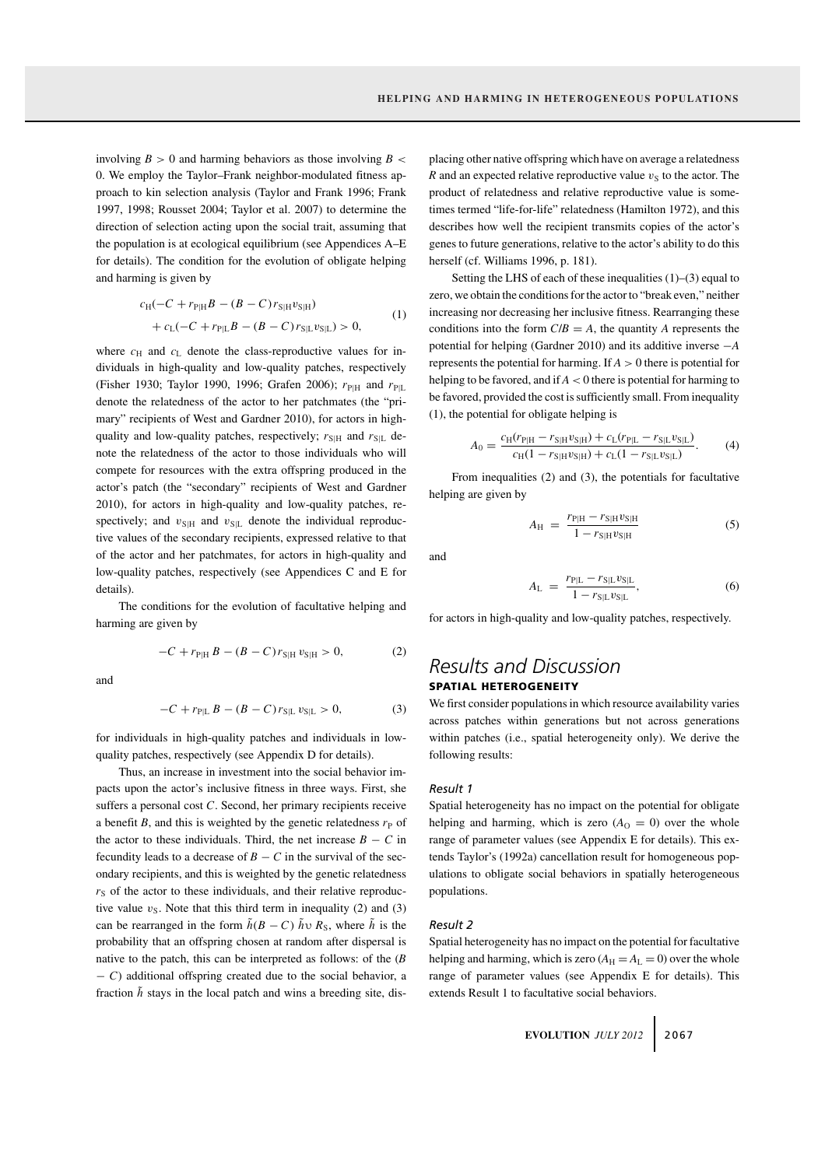involving  $B > 0$  and harming behaviors as those involving  $B <$ 0. We employ the Taylor–Frank neighbor-modulated fitness approach to kin selection analysis (Taylor and Frank 1996; Frank 1997, 1998; Rousset 2004; Taylor et al. 2007) to determine the direction of selection acting upon the social trait, assuming that the population is at ecological equilibrium (see Appendices A–E for details). The condition for the evolution of obligate helping and harming is given by

$$
c_{\rm H}(-C + r_{\rm P|H}B - (B - C)r_{\rm S|H}v_{\rm S|H})
$$
  
+ 
$$
c_{\rm L}(-C + r_{\rm P|L}B - (B - C)r_{\rm S|L}v_{\rm S|L}) > 0,
$$
 (1)

where  $c_H$  and  $c_L$  denote the class-reproductive values for individuals in high-quality and low-quality patches, respectively (Fisher 1930; Taylor 1990, 1996; Grafen 2006);  $r_{\text{PIH}}$  and  $r_{\text{PIL}}$ denote the relatedness of the actor to her patchmates (the "primary" recipients of West and Gardner 2010), for actors in highquality and low-quality patches, respectively;  $r_{\text{SH}}$  and  $r_{\text{SIL}}$  denote the relatedness of the actor to those individuals who will compete for resources with the extra offspring produced in the actor's patch (the "secondary" recipients of West and Gardner 2010), for actors in high-quality and low-quality patches, respectively; and  $v_{\text{S}}$  and  $v_{\text{S}}$  denote the individual reproductive values of the secondary recipients, expressed relative to that of the actor and her patchmates, for actors in high-quality and low-quality patches, respectively (see Appendices C and E for details).

The conditions for the evolution of facultative helping and harming are given by

$$
-C + r_{\rm P|H} B - (B - C) r_{\rm S|H} v_{\rm S|H} > 0, \qquad (2)
$$

and

$$
-C + r_{\text{P}|L} B - (B - C) r_{\text{S}|L} v_{\text{S}|L} > 0, \tag{3}
$$

for individuals in high-quality patches and individuals in lowquality patches, respectively (see Appendix D for details).

Thus, an increase in investment into the social behavior impacts upon the actor's inclusive fitness in three ways. First, she suffers a personal cost *C*. Second, her primary recipients receive a benefit *B*, and this is weighted by the genetic relatedness  $r_P$  of the actor to these individuals. Third, the net increase  $B - C$  in fecundity leads to a decrease of  $B - C$  in the survival of the secondary recipients, and this is weighted by the genetic relatedness  $r<sub>S</sub>$  of the actor to these individuals, and their relative reproductive value  $v<sub>S</sub>$ . Note that this third term in inequality (2) and (3) can be rearranged in the form  $\tilde{h}(B - C)$   $\tilde{h}$  v  $R_S$ , where  $\tilde{h}$  is the probability that an offspring chosen at random after dispersal is native to the patch, this can be interpreted as follows: of the (*B* − *C*) additional offspring created due to the social behavior, a fraction  $\tilde{h}$  stays in the local patch and wins a breeding site, dis-

placing other native offspring which have on average a relatedness *R* and an expected relative reproductive value  $v<sub>S</sub>$  to the actor. The product of relatedness and relative reproductive value is sometimes termed "life-for-life" relatedness (Hamilton 1972), and this describes how well the recipient transmits copies of the actor's genes to future generations, relative to the actor's ability to do this herself (cf. Williams 1996, p. 181).

Setting the LHS of each of these inequalities (1)–(3) equal to zero, we obtain the conditions for the actor to "break even," neither increasing nor decreasing her inclusive fitness. Rearranging these conditions into the form  $C/B = A$ , the quantity *A* represents the potential for helping (Gardner 2010) and its additive inverse −*A* represents the potential for harming. If  $A > 0$  there is potential for helping to be favored, and if  $A < 0$  there is potential for harming to be favored, provided the cost is sufficiently small. From inequality (1), the potential for obligate helping is

$$
A_0 = \frac{c_H(r_{\text{PIH}} - r_{\text{SIH}}v_{\text{SIH}}) + c_L(r_{\text{PIL}} - r_{\text{SIL}}v_{\text{SIL}})}{c_H(1 - r_{\text{SIH}}v_{\text{SIH}}) + c_L(1 - r_{\text{SIL}}v_{\text{SIL}})}.
$$
(4)

From inequalities (2) and (3), the potentials for facultative helping are given by

 $A_{\rm H}$  =  $\frac{r_{\rm P|H} - r_{\rm S|H}v_{\rm S|H}}{1 - r_{\rm S|H}v_{\rm S|H}}$ 

and

$$
A_{\rm L} = \frac{r_{\rm Pl} - r_{\rm SL} v_{\rm SL}}{1 - r_{\rm SL} v_{\rm SL}},
$$
\n(6)

(5)

for actors in high-quality and low-quality patches, respectively.

## *Results and Discussion* SPATIAL HETEROGENEITY

We first consider populations in which resource availability varies across patches within generations but not across generations within patches (i.e., spatial heterogeneity only). We derive the following results:

#### *Result 1*

Spatial heterogeneity has no impact on the potential for obligate helping and harming, which is zero  $(A<sub>O</sub> = 0)$  over the whole range of parameter values (see Appendix E for details). This extends Taylor's (1992a) cancellation result for homogeneous populations to obligate social behaviors in spatially heterogeneous populations.

#### *Result 2*

Spatial heterogeneity has no impact on the potential for facultative helping and harming, which is zero  $(A_H = A_L = 0)$  over the whole range of parameter values (see Appendix E for details). This extends Result 1 to facultative social behaviors.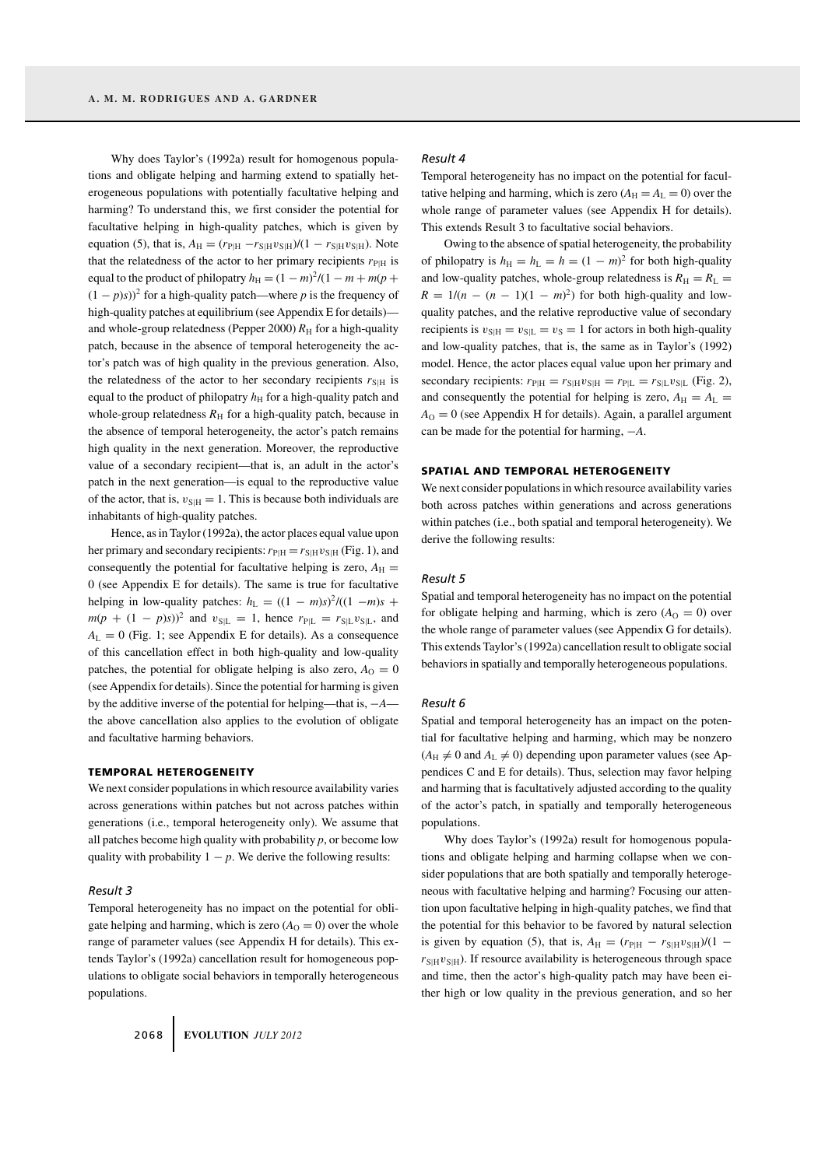Why does Taylor's (1992a) result for homogenous populations and obligate helping and harming extend to spatially heterogeneous populations with potentially facultative helping and harming? To understand this, we first consider the potential for facultative helping in high-quality patches, which is given by equation (5), that is,  $A_H = (r_{P|H} - r_{S|H}v_{S|H})/(1 - r_{S|H}v_{S|H})$ . Note that the relatedness of the actor to her primary recipients  $r_{\text{PIH}}$  is equal to the product of philopatry  $h_H = (1 - m)^2/(1 - m + m(p +$  $(1 - p)s$ )<sup>2</sup> for a high-quality patch—where *p* is the frequency of high-quality patches at equilibrium (see Appendix E for details) and whole-group relatedness (Pepper 2000)  $R<sub>H</sub>$  for a high-quality patch, because in the absence of temporal heterogeneity the actor's patch was of high quality in the previous generation. Also, the relatedness of the actor to her secondary recipients  $r_{\text{SIH}}$  is equal to the product of philopatry  $h<sub>H</sub>$  for a high-quality patch and whole-group relatedness  $R<sub>H</sub>$  for a high-quality patch, because in the absence of temporal heterogeneity, the actor's patch remains high quality in the next generation. Moreover, the reproductive value of a secondary recipient—that is, an adult in the actor's patch in the next generation—is equal to the reproductive value of the actor, that is,  $v_{\text{SiH}} = 1$ . This is because both individuals are inhabitants of high-quality patches.

Hence, as in Taylor (1992a), the actor places equal value upon her primary and secondary recipients:  $r_{\text{PIH}} = r_{\text{SIH}} v_{\text{SIH}}$  (Fig. 1), and consequently the potential for facultative helping is zero,  $A_H$  = 0 (see Appendix E for details). The same is true for facultative helping in low-quality patches:  $h_L = ((1 - m)s)^2/((1 - m)s +$  $m(p + (1 - p)s))^2$  and  $v_{S|L} = 1$ , hence  $r_{P|L} = r_{S|L}v_{S|L}$ , and  $A_{L} = 0$  (Fig. 1; see Appendix E for details). As a consequence of this cancellation effect in both high-quality and low-quality patches, the potential for obligate helping is also zero,  $A<sub>O</sub> = 0$ (see Appendix for details). Since the potential for harming is given by the additive inverse of the potential for helping—that is, −*A* the above cancellation also applies to the evolution of obligate and facultative harming behaviors.

#### TEMPORAL HETEROGENEITY

We next consider populations in which resource availability varies across generations within patches but not across patches within generations (i.e., temporal heterogeneity only). We assume that all patches become high quality with probability  $p$ , or become low quality with probability  $1 - p$ . We derive the following results:

#### *Result 3*

Temporal heterogeneity has no impact on the potential for obligate helping and harming, which is zero  $(A<sub>O</sub> = 0)$  over the whole range of parameter values (see Appendix H for details). This extends Taylor's (1992a) cancellation result for homogeneous populations to obligate social behaviors in temporally heterogeneous populations.

#### *Result 4*

Temporal heterogeneity has no impact on the potential for facultative helping and harming, which is zero  $(A_H = A_L = 0)$  over the whole range of parameter values (see Appendix H for details). This extends Result 3 to facultative social behaviors.

Owing to the absence of spatial heterogeneity, the probability of philopatry is  $h_{\text{H}} = h_{\text{L}} = (1 - m)^2$  for both high-quality and low-quality patches, whole-group relatedness is  $R_H = R_L$  =  $R = 1/(n - (n - 1)(1 - m)^2)$  for both high-quality and lowquality patches, and the relative reproductive value of secondary recipients is  $v_{\text{S}} = v_{\text{S}} = 1$  for actors in both high-quality and low-quality patches, that is, the same as in Taylor's (1992) model. Hence, the actor places equal value upon her primary and secondary recipients:  $r_{\text{P|H}} = r_{\text{S|H}}v_{\text{S|H}} = r_{\text{P|L}} = r_{\text{S|L}}v_{\text{S|L}}$  (Fig. 2), and consequently the potential for helping is zero,  $A_H = A_L$  $A<sub>O</sub> = 0$  (see Appendix H for details). Again, a parallel argument can be made for the potential for harming, −*A*.

#### SPATIAL AND TEMPORAL HETEROGENEITY

We next consider populations in which resource availability varies both across patches within generations and across generations within patches (i.e., both spatial and temporal heterogeneity). We derive the following results:

#### *Result 5*

Spatial and temporal heterogeneity has no impact on the potential for obligate helping and harming, which is zero  $(A<sub>O</sub> = 0)$  over the whole range of parameter values (see Appendix G for details). This extends Taylor's (1992a) cancellation result to obligate social behaviors in spatially and temporally heterogeneous populations.

#### *Result 6*

Spatial and temporal heterogeneity has an impact on the potential for facultative helping and harming, which may be nonzero  $(A_H \neq 0$  and  $A_L \neq 0$ ) depending upon parameter values (see Appendices C and E for details). Thus, selection may favor helping and harming that is facultatively adjusted according to the quality of the actor's patch, in spatially and temporally heterogeneous populations.

Why does Taylor's (1992a) result for homogenous populations and obligate helping and harming collapse when we consider populations that are both spatially and temporally heterogeneous with facultative helping and harming? Focusing our attention upon facultative helping in high-quality patches, we find that the potential for this behavior to be favored by natural selection is given by equation (5), that is,  $A_H = (r_{P|H} - r_{S|H}v_{S|H})/(1$  $r<sub>S/H</sub>v<sub>S/H</sub>$ ). If resource availability is heterogeneous through space and time, then the actor's high-quality patch may have been either high or low quality in the previous generation, and so her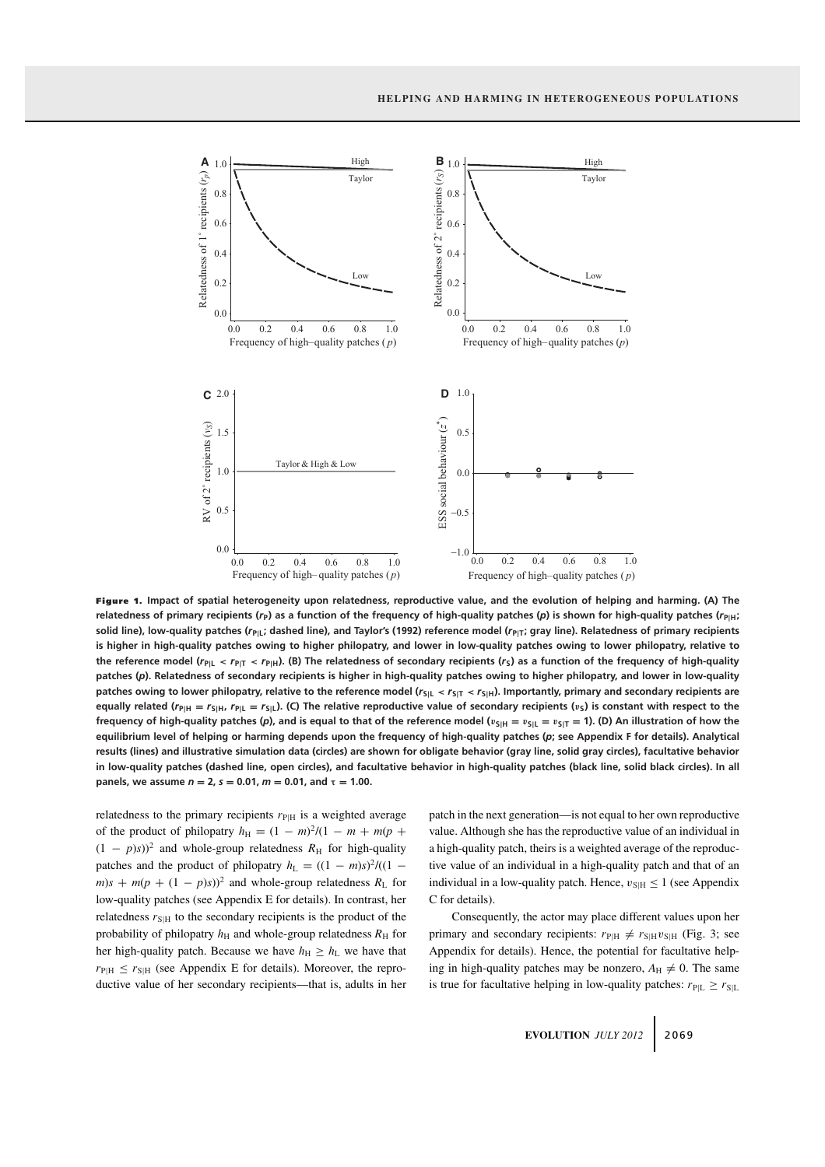

Figure 1. **Impact of spatial heterogeneity upon relatedness, reproductive value, and the evolution of helping and harming. (A) The** relatedness of primary recipients ( $r$ **P**) as a function of the frequency of high-quality patches ( $p$ ) is shown for high-quality patches ( $r$ <sup>*P*H<sub>1</sub></sub>)</sup> solid line), low-quality patches ( $r_{\text{Pl}}$ ; dashed line), and Taylor's (1992) reference model ( $r_{\text{Pl}}$ ; gray line). Relatedness of primary recipients **is higher in high-quality patches owing to higher philopatry, and lower in low-quality patches owing to lower philopatry, relative to** the reference model  $(r_{P|L} < r_{P|T} < r_{P|H})$ . (B) The relatedness of secondary recipients  $(r_S)$  as a function of the frequency of high-quality **patches (***p***). Relatedness of secondary recipients is higher in high-quality patches owing to higher philopatry, and lower in low-quality** patches owing to lower philopatry, relative to the reference model ( $r_{S|L}$  <  $r_{S|T}$  <  $r_{S|H}$ ). Importantly, primary and secondary recipients are equally related  $(r_{P|H} = r_{S|H}$ ,  $r_{P|L} = r_{S|L}$ ). (C) The relative reproductive value of secondary recipients (v<sub>S</sub>) is constant with respect to the **frequency of high-quality patches (p), and is equal to that of the reference model (** $v_{\text{SIH}} = v_{\text{SIL}} = v_{\text{SIT}} = 1$ **). (D) An illustration of how the equilibrium level of helping or harming depends upon the frequency of high-quality patches (***p***; see Appendix F for details). Analytical results (lines) and illustrative simulation data (circles) are shown for obligate behavior (gray line, solid gray circles), facultative behavior in low-quality patches (dashed line, open circles), and facultative behavior in high-quality patches (black line, solid black circles). In all panels, we assume**  $n = 2$ ,  $s = 0.01$ ,  $m = 0.01$ , and  $\tau = 1.00$ .

relatedness to the primary recipients  $r_{\text{PH}}$  is a weighted average of the product of philopatry  $h_H = (1 - m)^2/(1 - m + m(p +$  $(1 - p)s$ )<sup>2</sup> and whole-group relatedness  $R_H$  for high-quality patches and the product of philopatry  $h_L = ((1 - m)s)^2/((1$  $m/s + m(p + (1 - p)s))^2$  and whole-group relatedness  $R_L$  for low-quality patches (see Appendix E for details). In contrast, her relatedness  $r_{\text{S|H}}$  to the secondary recipients is the product of the probability of philopatry  $h_H$  and whole-group relatedness  $R_H$  for her high-quality patch. Because we have  $h_H \geq h_L$  we have that  $r_{\text{PIH}} \le r_{\text{SIH}}$  (see Appendix E for details). Moreover, the reproductive value of her secondary recipients—that is, adults in her

patch in the next generation—is not equal to her own reproductive value. Although she has the reproductive value of an individual in a high-quality patch, theirs is a weighted average of the reproductive value of an individual in a high-quality patch and that of an individual in a low-quality patch. Hence,  $v_{\text{SH}} \leq 1$  (see Appendix C for details).

Consequently, the actor may place different values upon her primary and secondary recipients:  $r_{\text{PIH}} \neq r_{\text{SIH}}v_{\text{SIH}}$  (Fig. 3; see Appendix for details). Hence, the potential for facultative helping in high-quality patches may be nonzero,  $A_H \neq 0$ . The same is true for facultative helping in low-quality patches:  $r_{\text{PIL}} \ge r_{\text{SIL}}$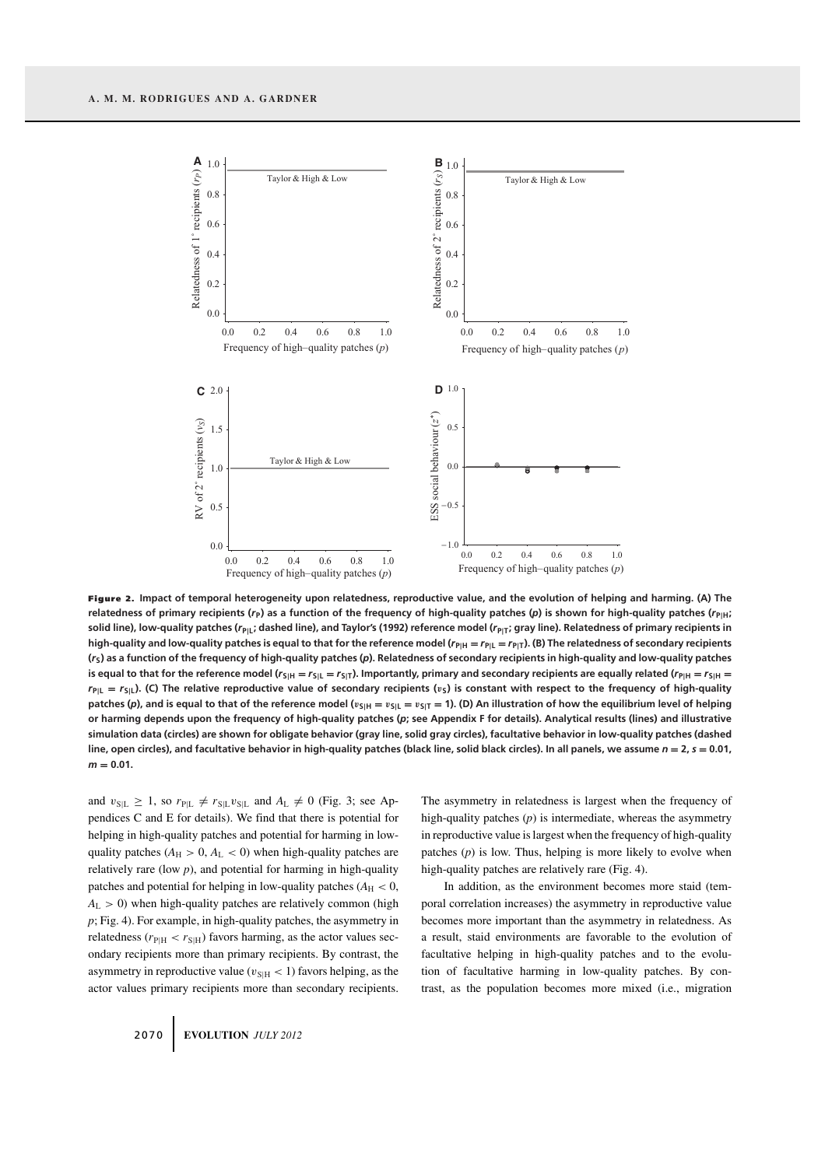

Figure 2. **Impact of temporal heterogeneity upon relatedness, reproductive value, and the evolution of helping and harming. (A) The** relatedness of primary recipients (*r*<sub>P</sub>) as a function of the frequency of high-quality patches (*p*) is shown for high-quality patches (*r*<sub>PlH</sub>; **solid line), low-quality patches (***r***P**|**L; dashed line), and Taylor's (1992) reference model (***r***P**|**T; gray line). Relatedness of primary recipients in** high-quality and low-quality patches is equal to that for the reference model  $(r_{P|H} = r_{P|L} = r_{P|T})$ . (B) The relatedness of secondary recipients **(***r***S) as a function of the frequency of high-quality patches (***p***). Relatedness of secondary recipients in high-quality and low-quality patches** is equal to that for the reference model  $(r_{S|H} = r_{S|L} = r_{S|T})$ . Importantly, primary and secondary recipients are equally related  $(r_{P|H} = r_{S|H}$  $r_{P|L} = r_{S|L}$ ). (C) The relative reproductive value of secondary recipients ( $v_S$ ) is constant with respect to the frequency of high-quality patches (*p*), and is equal to that of the reference model ( $v_{SIH} = v_{SIL} = v_{SIT} = 1$ ). (D) An illustration of how the equilibrium level of helping **or harming depends upon the frequency of high-quality patches (***p***; see Appendix F for details). Analytical results (lines) and illustrative simulation data (circles) are shown for obligate behavior (gray line, solid gray circles), facultative behavior in low-quality patches (dashed line, open circles), and facultative behavior in high-quality patches (black line, solid black circles). In all panels, we assume** *n* = **2,** *s* = **0.01,**  $m = 0.01$ .

and  $v_{S|L} \ge 1$ , so  $r_{P|L} \ne r_{S|L}v_{S|L}$  and  $A_L \ne 0$  (Fig. 3; see Appendices C and E for details). We find that there is potential for helping in high-quality patches and potential for harming in lowquality patches  $(A_H > 0, A_L < 0)$  when high-quality patches are relatively rare (low  $p$ ), and potential for harming in high-quality patches and potential for helping in low-quality patches  $(A_H < 0,$  $A_L > 0$ ) when high-quality patches are relatively common (high *p*; Fig. 4). For example, in high-quality patches, the asymmetry in relatedness ( $r_{\text{PIH}} < r_{\text{SIH}}$ ) favors harming, as the actor values secondary recipients more than primary recipients. By contrast, the asymmetry in reproductive value ( $v_{\text{SH}}$  < 1) favors helping, as the actor values primary recipients more than secondary recipients.

2070 **EVOLUTION** *JULY 2012*

The asymmetry in relatedness is largest when the frequency of high-quality patches (*p*) is intermediate, whereas the asymmetry in reproductive value is largest when the frequency of high-quality patches  $(p)$  is low. Thus, helping is more likely to evolve when high-quality patches are relatively rare (Fig. 4).

In addition, as the environment becomes more staid (temporal correlation increases) the asymmetry in reproductive value becomes more important than the asymmetry in relatedness. As a result, staid environments are favorable to the evolution of facultative helping in high-quality patches and to the evolution of facultative harming in low-quality patches. By contrast, as the population becomes more mixed (i.e., migration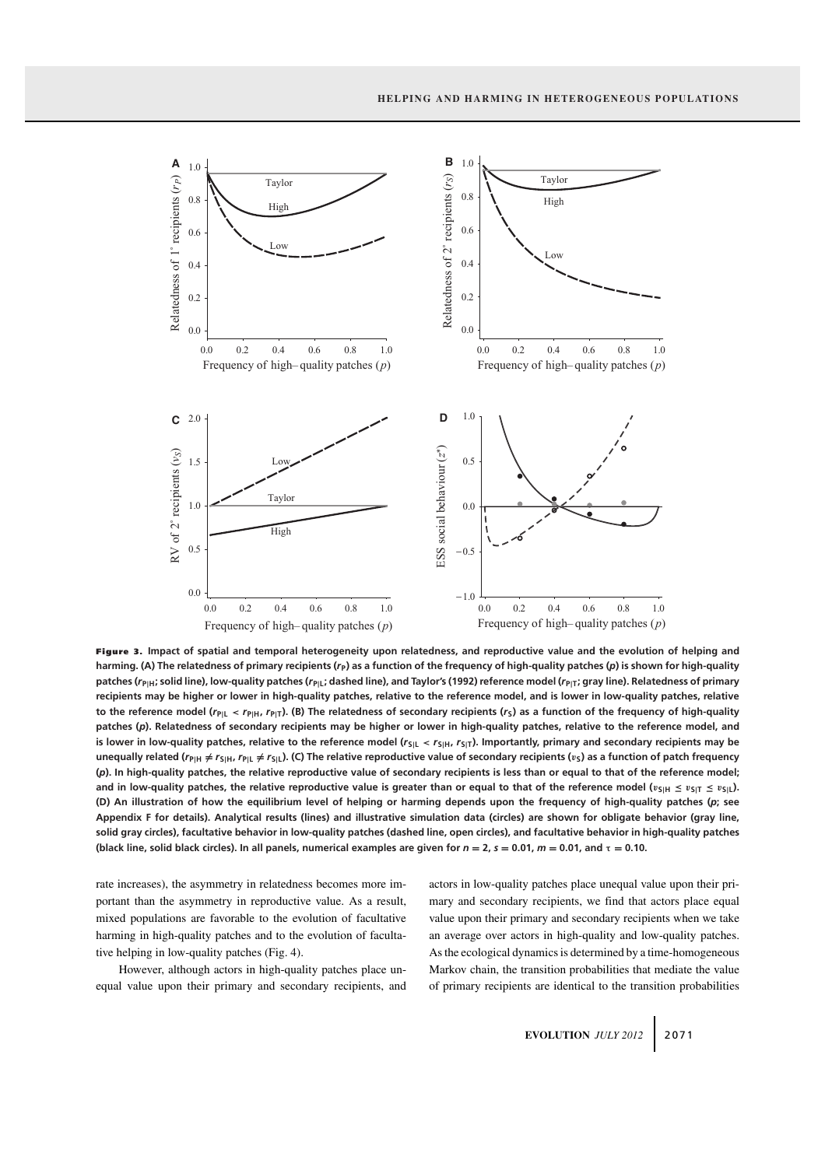

Figure 3. **Impact of spatial and temporal heterogeneity upon relatedness, and reproductive value and the evolution of helping and harming. (A) The relatedness of primary recipients (***r***P) as a function of the frequency of high-quality patches (***p***) is shown for high-quality patches (***r***P**|**H; solid line), low-quality patches (***r***P**|**L; dashed line), and Taylor's (1992) reference model (***r***P**|**T; gray line). Relatedness of primary recipients may be higher or lower in high-quality patches, relative to the reference model, and is lower in low-quality patches, relative** to the reference model ( $r_{\text{PlL}} < r_{\text{PlH}}$ ,  $r_{\text{Pl}}$ ). (B) The relatedness of secondary recipients ( $r_s$ ) as a function of the frequency of high-quality **patches (***p***). Relatedness of secondary recipients may be higher or lower in high-quality patches, relative to the reference model, and** is lower in low-quality patches, relative to the reference model  $(r_{S|L} < r_{S|H}, r_{S|T})$ . Importantly, primary and secondary recipients may be unequally related ( $r_{P|H} \neq r_{S|H}$ ,  $r_{P|L} \neq r_{S|L}$ ). (C) The relative reproductive value of secondary recipients (v<sub>S</sub>) as a function of patch frequency **(***p***). In high-quality patches, the relative reproductive value of secondary recipients is less than or equal to that of the reference model;** and in low-quality patches, the relative reproductive value is greater than or equal to that of the reference model ( $v_{\text{S|H}} \le v_{\text{S|T}} \le v_{\text{S|L}}$ ). **(D) An illustration of how the equilibrium level of helping or harming depends upon the frequency of high-quality patches (***p***; see Appendix F for details). Analytical results (lines) and illustrative simulation data (circles) are shown for obligate behavior (gray line, solid gray circles), facultative behavior in low-quality patches (dashed line, open circles), and facultative behavior in high-quality patches (black line, solid black circles). In all panels, numerical examples are given for**  $n = 2$ **,**  $s = 0.01$ **,**  $m = 0.01$ **, and**  $\tau = 0.10$ **.** 

rate increases), the asymmetry in relatedness becomes more important than the asymmetry in reproductive value. As a result, mixed populations are favorable to the evolution of facultative harming in high-quality patches and to the evolution of facultative helping in low-quality patches (Fig. 4).

However, although actors in high-quality patches place unequal value upon their primary and secondary recipients, and actors in low-quality patches place unequal value upon their primary and secondary recipients, we find that actors place equal value upon their primary and secondary recipients when we take an average over actors in high-quality and low-quality patches. As the ecological dynamics is determined by a time-homogeneous Markov chain, the transition probabilities that mediate the value of primary recipients are identical to the transition probabilities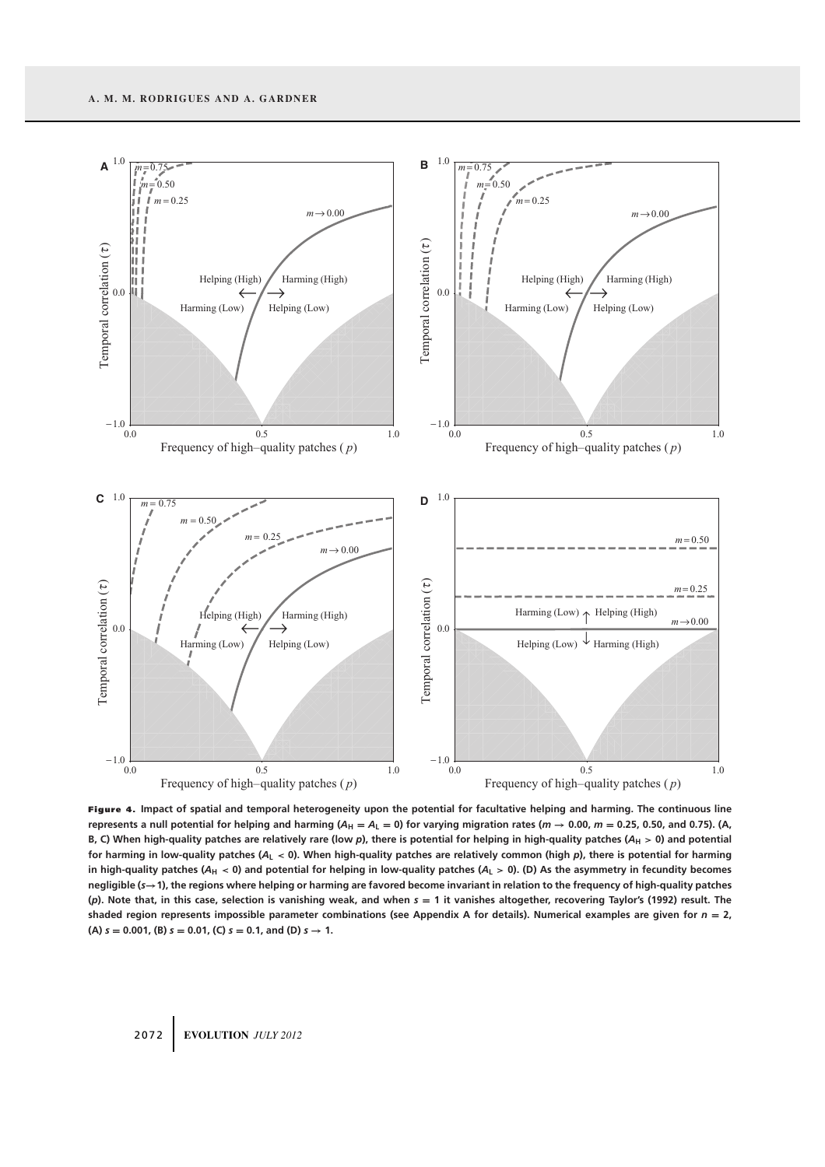

Figure 4. **Impact of spatial and temporal heterogeneity upon the potential for facultative helping and harming. The continuous line** represents a null potential for helping and harming  $(A_H = A_L = 0)$  for varying migration rates ( $m \to 0.00$ ,  $m = 0.25$ , 0.50, and 0.75). (A, **B, C)** When high-quality patches are relatively rare (low  $p$ ), there is potential for helping in high-quality patches ( $A_H > 0$ ) and potential **for harming in low-quality patches (***A***<sup>L</sup>** < **0). When high-quality patches are relatively common (high** *p***), there is potential for harming** in high-quality patches (A<sub>H</sub> < 0) and potential for helping in low-quality patches (A<sub>L</sub> > 0). (D) As the asymmetry in fecundity becomes **negligible (***s*→**1), the regions where helping or harming are favored become invariant in relation to the frequency of high-quality patches (***p***). Note that, in this case, selection is vanishing weak, and when** *s* = **1 it vanishes altogether, recovering Taylor's (1992) result. The shaded region represents impossible parameter combinations (see Appendix A for details). Numerical examples are given for** *n* = **2,** (A)  $s = 0.001$ , (B)  $s = 0.01$ , (C)  $s = 0.1$ , and (D)  $s \rightarrow 1$ .

2072 **EVOLUTION** *JULY 2012*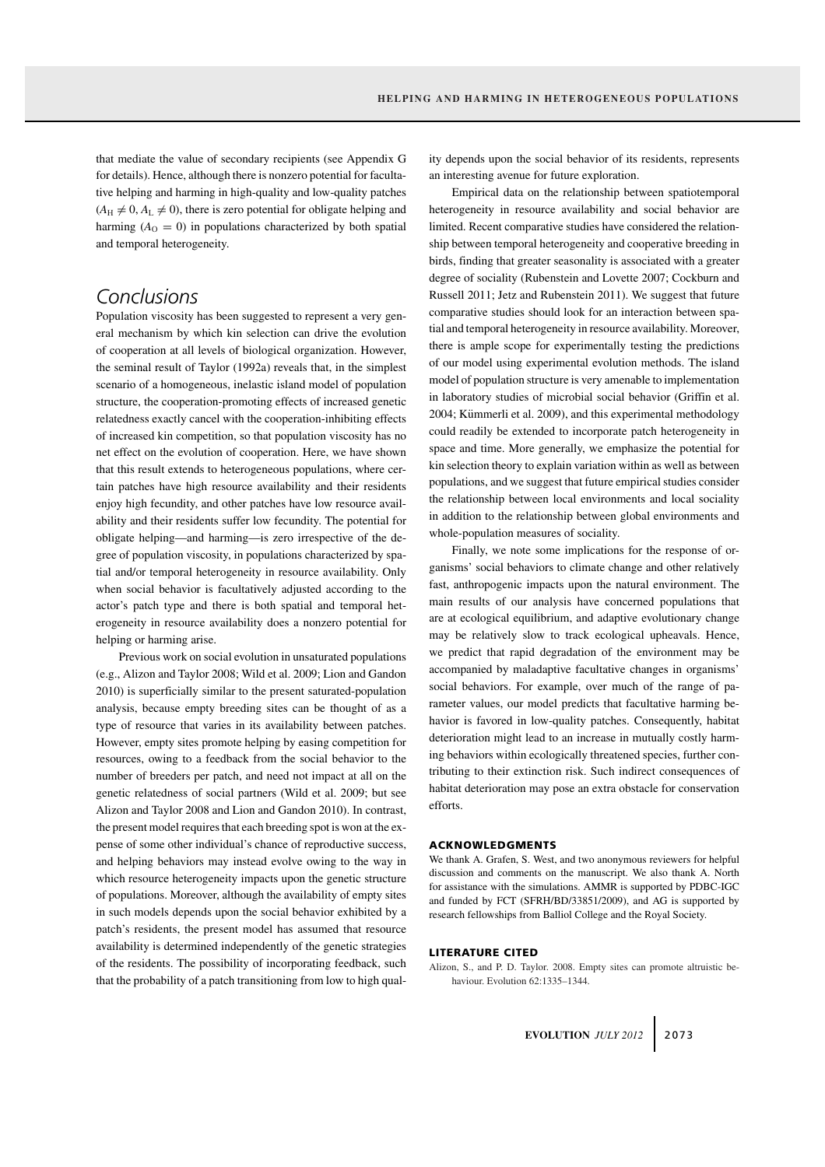that mediate the value of secondary recipients (see Appendix G for details). Hence, although there is nonzero potential for facultative helping and harming in high-quality and low-quality patches  $(A_H \neq 0, A_L \neq 0)$ , there is zero potential for obligate helping and harming  $(A<sub>O</sub> = 0)$  in populations characterized by both spatial and temporal heterogeneity.

## *Conclusions*

Population viscosity has been suggested to represent a very general mechanism by which kin selection can drive the evolution of cooperation at all levels of biological organization. However, the seminal result of Taylor (1992a) reveals that, in the simplest scenario of a homogeneous, inelastic island model of population structure, the cooperation-promoting effects of increased genetic relatedness exactly cancel with the cooperation-inhibiting effects of increased kin competition, so that population viscosity has no net effect on the evolution of cooperation. Here, we have shown that this result extends to heterogeneous populations, where certain patches have high resource availability and their residents enjoy high fecundity, and other patches have low resource availability and their residents suffer low fecundity. The potential for obligate helping—and harming—is zero irrespective of the degree of population viscosity, in populations characterized by spatial and/or temporal heterogeneity in resource availability. Only when social behavior is facultatively adjusted according to the actor's patch type and there is both spatial and temporal heterogeneity in resource availability does a nonzero potential for helping or harming arise.

Previous work on social evolution in unsaturated populations (e.g., Alizon and Taylor 2008; Wild et al. 2009; Lion and Gandon 2010) is superficially similar to the present saturated-population analysis, because empty breeding sites can be thought of as a type of resource that varies in its availability between patches. However, empty sites promote helping by easing competition for resources, owing to a feedback from the social behavior to the number of breeders per patch, and need not impact at all on the genetic relatedness of social partners (Wild et al. 2009; but see Alizon and Taylor 2008 and Lion and Gandon 2010). In contrast, the present model requires that each breeding spot is won at the expense of some other individual's chance of reproductive success, and helping behaviors may instead evolve owing to the way in which resource heterogeneity impacts upon the genetic structure of populations. Moreover, although the availability of empty sites in such models depends upon the social behavior exhibited by a patch's residents, the present model has assumed that resource availability is determined independently of the genetic strategies of the residents. The possibility of incorporating feedback, such that the probability of a patch transitioning from low to high quality depends upon the social behavior of its residents, represents an interesting avenue for future exploration.

Empirical data on the relationship between spatiotemporal heterogeneity in resource availability and social behavior are limited. Recent comparative studies have considered the relationship between temporal heterogeneity and cooperative breeding in birds, finding that greater seasonality is associated with a greater degree of sociality (Rubenstein and Lovette 2007; Cockburn and Russell 2011; Jetz and Rubenstein 2011). We suggest that future comparative studies should look for an interaction between spatial and temporal heterogeneity in resource availability. Moreover, there is ample scope for experimentally testing the predictions of our model using experimental evolution methods. The island model of population structure is very amenable to implementation in laboratory studies of microbial social behavior (Griffin et al. 2004; Kümmerli et al. 2009), and this experimental methodology could readily be extended to incorporate patch heterogeneity in space and time. More generally, we emphasize the potential for kin selection theory to explain variation within as well as between populations, and we suggest that future empirical studies consider the relationship between local environments and local sociality in addition to the relationship between global environments and whole-population measures of sociality.

Finally, we note some implications for the response of organisms' social behaviors to climate change and other relatively fast, anthropogenic impacts upon the natural environment. The main results of our analysis have concerned populations that are at ecological equilibrium, and adaptive evolutionary change may be relatively slow to track ecological upheavals. Hence, we predict that rapid degradation of the environment may be accompanied by maladaptive facultative changes in organisms' social behaviors. For example, over much of the range of parameter values, our model predicts that facultative harming behavior is favored in low-quality patches. Consequently, habitat deterioration might lead to an increase in mutually costly harming behaviors within ecologically threatened species, further contributing to their extinction risk. Such indirect consequences of habitat deterioration may pose an extra obstacle for conservation efforts.

#### ACKNOWLEDGMENTS

We thank A. Grafen, S. West, and two anonymous reviewers for helpful discussion and comments on the manuscript. We also thank A. North for assistance with the simulations. AMMR is supported by PDBC-IGC and funded by FCT (SFRH/BD/33851/2009), and AG is supported by research fellowships from Balliol College and the Royal Society.

#### LITERATURE CITED

Alizon, S., and P. D. Taylor. 2008. Empty sites can promote altruistic behaviour. Evolution 62:1335–1344.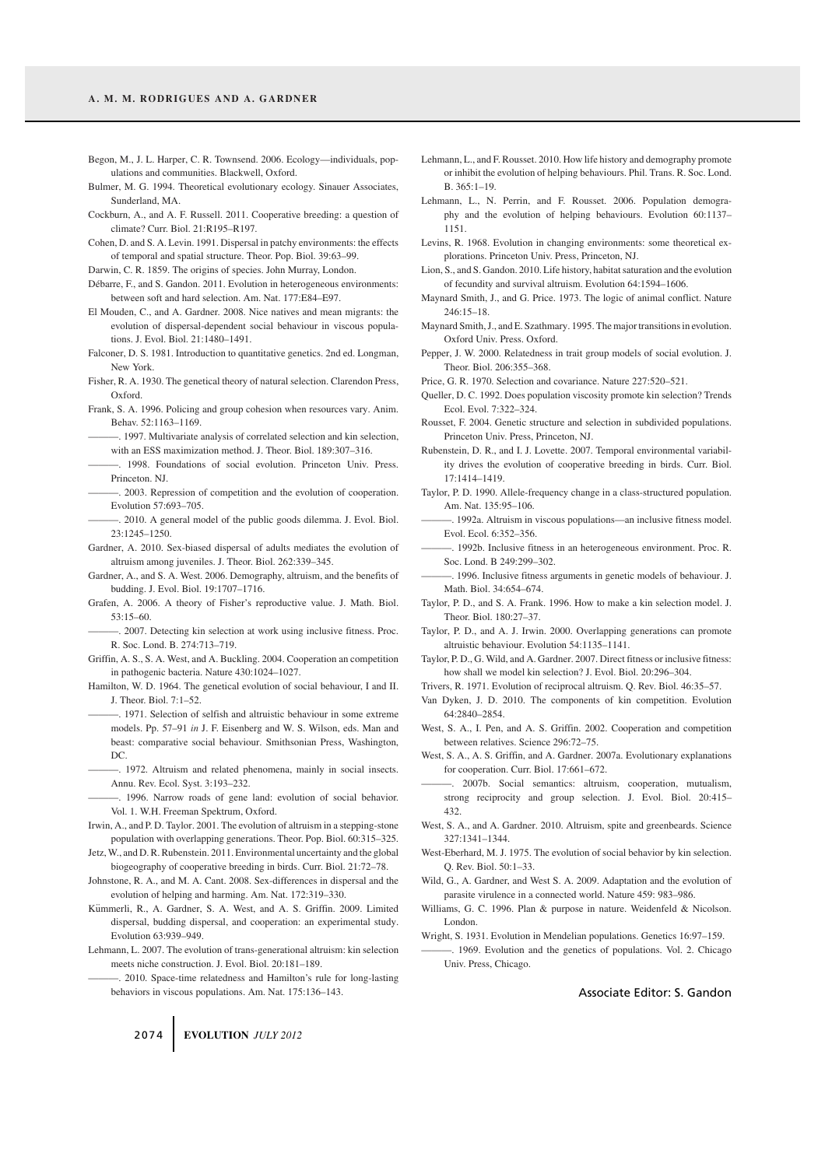- Begon, M., J. L. Harper, C. R. Townsend. 2006. Ecology—individuals, populations and communities. Blackwell, Oxford.
- Bulmer, M. G. 1994. Theoretical evolutionary ecology. Sinauer Associates, Sunderland, MA.
- Cockburn, A., and A. F. Russell. 2011. Cooperative breeding: a question of climate? Curr. Biol. 21:R195–R197.
- Cohen, D. and S. A. Levin. 1991. Dispersal in patchy environments: the effects of temporal and spatial structure. Theor. Pop. Biol. 39:63–99.
- Darwin, C. R. 1859. The origins of species. John Murray, London.
- Débarre, F., and S. Gandon. 2011. Evolution in heterogeneous environments: between soft and hard selection. Am. Nat. 177:E84–E97.
- El Mouden, C., and A. Gardner. 2008. Nice natives and mean migrants: the evolution of dispersal-dependent social behaviour in viscous populations. J. Evol. Biol. 21:1480–1491.
- Falconer, D. S. 1981. Introduction to quantitative genetics. 2nd ed. Longman, New York.
- Fisher, R. A. 1930. The genetical theory of natural selection. Clarendon Press, Oxford.
- Frank, S. A. 1996. Policing and group cohesion when resources vary. Anim. Behav. 52:1163–1169.
- $-$ . 1997. Multivariate analysis of correlated selection and kin selection. with an ESS maximization method. J. Theor. Biol. 189:307–316.
- ———. 1998. Foundations of social evolution. Princeton Univ. Press. Princeton. NJ.
- 2003. Repression of competition and the evolution of cooperation. Evolution 57:693–705.
- -. 2010. A general model of the public goods dilemma. J. Evol. Biol. 23:1245–1250.
- Gardner, A. 2010. Sex-biased dispersal of adults mediates the evolution of altruism among juveniles. J. Theor. Biol. 262:339–345.
- Gardner, A., and S. A. West. 2006. Demography, altruism, and the benefits of budding. J. Evol. Biol. 19:1707–1716.
- Grafen, A. 2006. A theory of Fisher's reproductive value. J. Math. Biol. 53:15–60.
	- ———. 2007. Detecting kin selection at work using inclusive fitness. Proc. R. Soc. Lond. B. 274:713–719.
- Griffin, A. S., S. A. West, and A. Buckling. 2004. Cooperation an competition in pathogenic bacteria. Nature 430:1024–1027.
- Hamilton, W. D. 1964. The genetical evolution of social behaviour, I and II. J. Theor. Biol. 7:1–52.
- 1971. Selection of selfish and altruistic behaviour in some extreme models. Pp. 57–91 *in* J. F. Eisenberg and W. S. Wilson, eds. Man and beast: comparative social behaviour. Smithsonian Press, Washington, DC.
- ———. 1972. Altruism and related phenomena, mainly in social insects. Annu. Rev. Ecol. Syst. 3:193–232.
	- ———. 1996. Narrow roads of gene land: evolution of social behavior. Vol. 1. W.H. Freeman Spektrum, Oxford.
- Irwin, A., and P. D. Taylor. 2001. The evolution of altruism in a stepping-stone population with overlapping generations. Theor. Pop. Biol. 60:315–325.
- Jetz,W., and D. R. Rubenstein. 2011. Environmental uncertainty and the global biogeography of cooperative breeding in birds. Curr. Biol. 21:72–78.
- Johnstone, R. A., and M. A. Cant. 2008. Sex-differences in dispersal and the evolution of helping and harming. Am. Nat. 172:319–330.
- Kümmerli, R., A. Gardner, S. A. West, and A. S. Griffin. 2009. Limited dispersal, budding dispersal, and cooperation: an experimental study. Evolution 63:939–949.
- Lehmann, L. 2007. The evolution of trans-generational altruism: kin selection meets niche construction. J. Evol. Biol. 20:181–189.
	- -. 2010. Space-time relatedness and Hamilton's rule for long-lasting behaviors in viscous populations. Am. Nat. 175:136–143.
- Lehmann, L., and F. Rousset. 2010. How life history and demography promote or inhibit the evolution of helping behaviours. Phil. Trans. R. Soc. Lond. B. 365:1–19.
- Lehmann, L., N. Perrin, and F. Rousset. 2006. Population demography and the evolution of helping behaviours. Evolution 60:1137– 1151.
- Levins, R. 1968. Evolution in changing environments: some theoretical explorations. Princeton Univ. Press, Princeton, NJ.
- Lion, S., and S. Gandon. 2010. Life history, habitat saturation and the evolution of fecundity and survival altruism. Evolution 64:1594–1606.
- Maynard Smith, J., and G. Price. 1973. The logic of animal conflict. Nature  $246:15-18$
- Maynard Smith, J., and E. Szathmary. 1995. The major transitions in evolution. Oxford Univ. Press. Oxford.
- Pepper, J. W. 2000. Relatedness in trait group models of social evolution. J. Theor. Biol. 206:355–368.
- Price, G. R. 1970. Selection and covariance. Nature 227:520–521.
- Queller, D. C. 1992. Does population viscosity promote kin selection? Trends Ecol. Evol. 7:322–324.
- Rousset, F. 2004. Genetic structure and selection in subdivided populations. Princeton Univ. Press, Princeton, NJ.
- Rubenstein, D. R., and I. J. Lovette. 2007. Temporal environmental variability drives the evolution of cooperative breeding in birds. Curr. Biol. 17:1414–1419.
- Taylor, P. D. 1990. Allele-frequency change in a class-structured population. Am. Nat. 135:95–106.
- -. 1992a. Altruism in viscous populations—an inclusive fitness model. Evol. Ecol. 6:352–356.
- -. 1992b. Inclusive fitness in an heterogeneous environment. Proc. R. Soc. Lond. B 249:299–302.
- 1996. Inclusive fitness arguments in genetic models of behaviour. J. Math. Biol. 34:654–674.
- Taylor, P. D., and S. A. Frank. 1996. How to make a kin selection model. J. Theor. Biol. 180:27–37.
- Taylor, P. D., and A. J. Irwin. 2000. Overlapping generations can promote altruistic behaviour. Evolution 54:1135–1141.
- Taylor, P. D., G. Wild, and A. Gardner. 2007. Direct fitness or inclusive fitness: how shall we model kin selection? J. Evol. Biol. 20:296–304.
- Trivers, R. 1971. Evolution of reciprocal altruism. Q. Rev. Biol. 46:35–57.
- Van Dyken, J. D. 2010. The components of kin competition. Evolution 64:2840–2854.
- West, S. A., I. Pen, and A. S. Griffin. 2002. Cooperation and competition between relatives. Science 296:72–75.
- West, S. A., A. S. Griffin, and A. Gardner. 2007a. Evolutionary explanations for cooperation. Curr. Biol. 17:661–672.
- ———. 2007b. Social semantics: altruism, cooperation, mutualism, strong reciprocity and group selection. J. Evol. Biol. 20:415– 432.
- West, S. A., and A. Gardner. 2010. Altruism, spite and greenbeards. Science 327:1341–1344.
- West-Eberhard, M. J. 1975. The evolution of social behavior by kin selection. Q. Rev. Biol. 50:1–33.
- Wild, G., A. Gardner, and West S. A. 2009. Adaptation and the evolution of parasite virulence in a connected world. Nature 459: 983–986.
- Williams, G. C. 1996. Plan & purpose in nature. Weidenfeld & Nicolson. London.
- Wright, S. 1931. Evolution in Mendelian populations. Genetics 16:97–159.
- ———. 1969. Evolution and the genetics of populations. Vol. 2. Chicago Univ. Press, Chicago.

Associate Editor: S. Gandon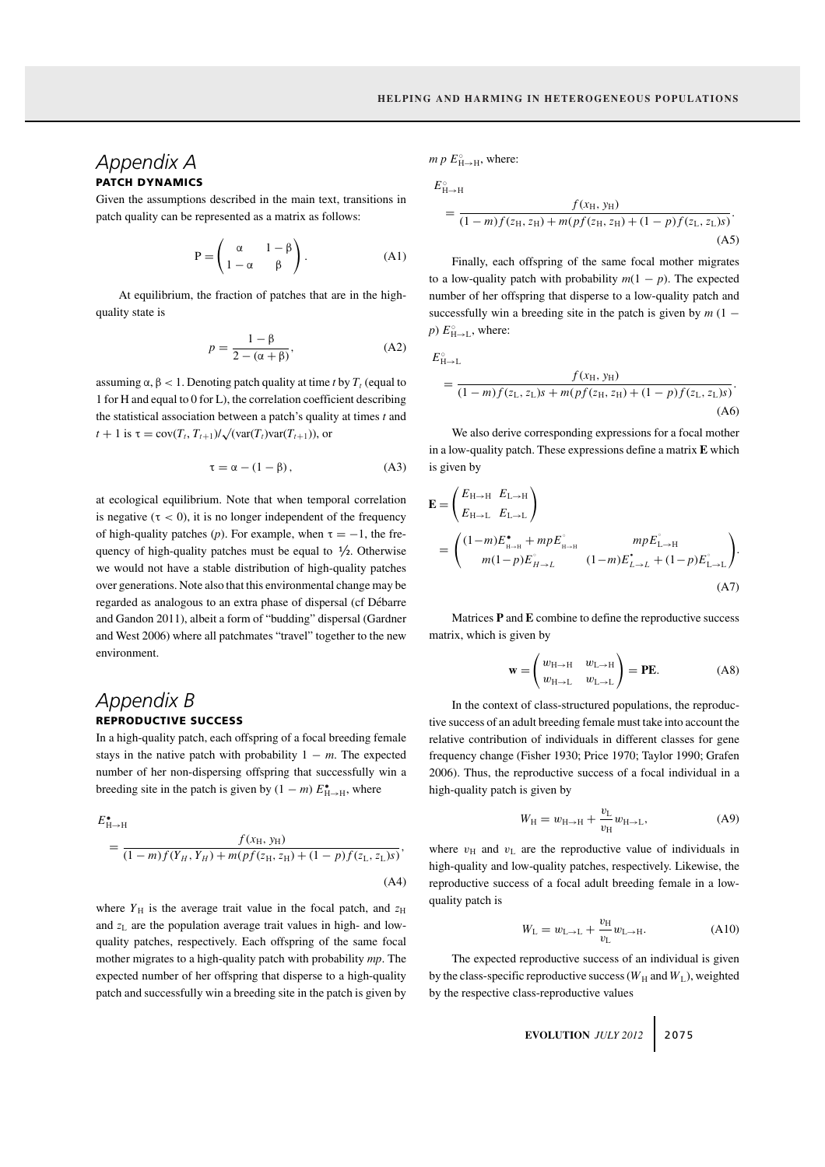## *Appendix A* PATCH DYNAMICS

Given the assumptions described in the main text, transitions in patch quality can be represented as a matrix as follows:

$$
P = \begin{pmatrix} \alpha & 1 - \beta \\ 1 - \alpha & \beta \end{pmatrix}.
$$
 (A1)

At equilibrium, the fraction of patches that are in the highquality state is

$$
p = \frac{1 - \beta}{2 - (\alpha + \beta)},
$$
 (A2)

assuming  $\alpha$ ,  $\beta$  < 1. Denoting patch quality at time *t* by  $T_t$  (equal to 1 for H and equal to 0 for L), the correlation coefficient describing the statistical association between a patch's quality at times *t* and  $t + 1$  is  $\tau = \text{cov}(T_t, T_{t+1})/\sqrt{\text{var}(T_t)\text{var}(T_{t+1})}$ , or

$$
\tau = \alpha - (1 - \beta), \tag{A3}
$$

at ecological equilibrium. Note that when temporal correlation is negative ( $\tau$  < 0), it is no longer independent of the frequency of high-quality patches (*p*). For example, when  $\tau = -1$ , the frequency of high-quality patches must be equal to  $\frac{1}{2}$ . Otherwise we would not have a stable distribution of high-quality patches over generations. Note also that this environmental change may be regarded as analogous to an extra phase of dispersal (cf Débarre and Gandon 2011), albeit a form of "budding" dispersal (Gardner and West 2006) where all patchmates "travel" together to the new environment.

## *Appendix B* REPRODUCTIVE SUCCESS

In a high-quality patch, each offspring of a focal breeding female stays in the native patch with probability  $1 - m$ . The expected number of her non-dispersing offspring that successfully win a breeding site in the patch is given by  $(1 - m) E_{H \to H}^*$ , where

$$
E_{\text{H}\to\text{H}}^{\bullet} = \frac{f(x_{\text{H}}, y_{\text{H}})}{(1 - m)f(Y_H, Y_H) + m(pf(z_{\text{H}}, z_{\text{H}}) + (1 - p)f(z_{\text{L}}, z_{\text{L}})s)},
$$
\n(A4)

where  $Y_H$  is the average trait value in the focal patch, and  $z_H$ and *z*<sup>L</sup> are the population average trait values in high- and lowquality patches, respectively. Each offspring of the same focal mother migrates to a high-quality patch with probability *mp*. The expected number of her offspring that disperse to a high-quality patch and successfully win a breeding site in the patch is given by *m*  $p$   $E_{\text{H}\rightarrow\text{H}}^{\circ}$ , where:

$$
E_{\text{H}\to\text{H}}^{\circ} = \frac{f(x_{\text{H}}, y_{\text{H}})}{(1-m)f(z_{\text{H}}, z_{\text{H}}) + m(pf(z_{\text{H}}, z_{\text{H}}) + (1-p)f(z_{\text{L}}, z_{\text{L}})s)}.
$$
\n(A5)

Finally, each offspring of the same focal mother migrates to a low-quality patch with probability  $m(1 - p)$ . The expected number of her offspring that disperse to a low-quality patch and successfully win a breeding site in the patch is given by  $m(1$  $p)$   $E_{H\rightarrow L}^{\circ}$ , where:

$$
E_{\mathrm{H}\rightarrow\mathrm{L}}^{\circ}
$$

$$
= \frac{f(x_{\rm H}, y_{\rm H})}{(1-m)f(z_{\rm L}, z_{\rm L})s + m(pf(z_{\rm H}, z_{\rm H}) + (1-p)f(z_{\rm L}, z_{\rm L})s)}.
$$
\n(A6)

We also derive corresponding expressions for a focal mother in a low-quality patch. These expressions define a matrix **E** which is given by

$$
\mathbf{E} = \begin{pmatrix} E_{\text{H}\to\text{H}} & E_{\text{L}\to\text{H}} \\ E_{\text{H}\to\text{L}} & E_{\text{L}\to\text{L}} \end{pmatrix}
$$
\n
$$
= \begin{pmatrix} (1-m)E_{\text{H}\to\text{H}}^* + mpE_{\text{H}\to\text{H}}^* & mpE_{\text{L}\to\text{H}}^* \\ m(1-p)E_{\text{H}\to\text{L}}^* & (1-m)E_{\text{L}\to\text{L}}^* + (1-p)E_{\text{L}\to\text{L}}^* \end{pmatrix} . \tag{A7}
$$

Matrices **P** and **E** combine to define the reproductive success matrix, which is given by

$$
\mathbf{w} = \begin{pmatrix} w_{\text{H}\to\text{H}} & w_{\text{L}\to\text{H}} \\ w_{\text{H}\to\text{L}} & w_{\text{L}\to\text{L}} \end{pmatrix} = \mathbf{P} \mathbf{E}.
$$
 (A8)

In the context of class-structured populations, the reproductive success of an adult breeding female must take into account the relative contribution of individuals in different classes for gene frequency change (Fisher 1930; Price 1970; Taylor 1990; Grafen 2006). Thus, the reproductive success of a focal individual in a high-quality patch is given by

$$
W_{\rm H} = w_{\rm H \to H} + \frac{v_{\rm L}}{v_{\rm H}} w_{\rm H \to L}, \tag{A9}
$$

where  $v_H$  and  $v_L$  are the reproductive value of individuals in high-quality and low-quality patches, respectively. Likewise, the reproductive success of a focal adult breeding female in a lowquality patch is

$$
W_{\mathcal{L}} = w_{\mathcal{L} \to \mathcal{L}} + \frac{v_{\mathcal{H}}}{v_{\mathcal{L}}} w_{\mathcal{L} \to \mathcal{H}}.
$$
 (A10)

The expected reproductive success of an individual is given by the class-specific reproductive success ( $W_H$  and  $W_L$ ), weighted by the respective class-reproductive values

$$
EVALU TION JULY 2012 \t\t 2075
$$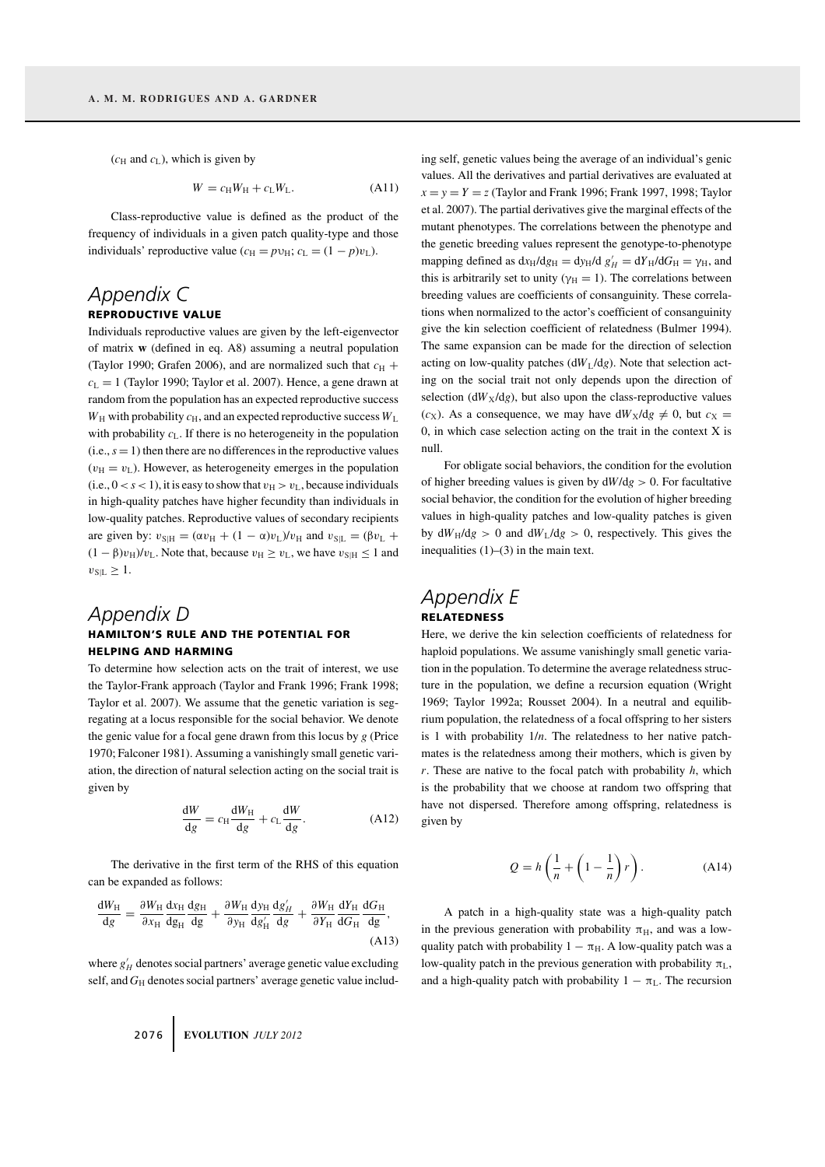$(c_H$  and  $c_L$ ), which is given by

$$
W = c_{\rm H} W_{\rm H} + c_{\rm L} W_{\rm L}.
$$
 (A11)

Class-reproductive value is defined as the product of the frequency of individuals in a given patch quality-type and those individuals' reproductive value ( $c_H = p v_H$ ;  $c_L = (1 - p)v_L$ ).

## *Appendix C* REPRODUCTIVE VALUE

Individuals reproductive values are given by the left-eigenvector of matrix **w** (defined in eq. A8) assuming a neutral population (Taylor 1990; Grafen 2006), and are normalized such that  $c_H$  +  $c_L = 1$  (Taylor 1990; Taylor et al. 2007). Hence, a gene drawn at random from the population has an expected reproductive success  $W_H$  with probability  $c_H$ , and an expected reproductive success  $W_L$ with probability  $c_L$ . If there is no heterogeneity in the population  $(i.e.,  $s = 1$ ) then there are no differences in the reproductive values$  $(v<sub>H</sub> = v<sub>L</sub>)$ . However, as heterogeneity emerges in the population  $(i.e., 0 < s < 1)$ , it is easy to show that  $v_H > v_L$ , because individuals in high-quality patches have higher fecundity than individuals in low-quality patches. Reproductive values of secondary recipients are given by:  $v_{\text{S|H}} = (\alpha v_{\text{H}} + (1 - \alpha)v_{\text{L}})/v_{\text{H}}$  and  $v_{\text{S|L}} = (\beta v_{\text{L}} +$  $(1 - \beta)v_H/v_L$ . Note that, because  $v_H \ge v_L$ , we have  $v_{SH} \le 1$  and  $v_{\text{SIL}} \geq 1$ .

## *Appendix D* HAMILTON'S RULE AND THE POTENTIAL FOR HELPING AND HARMING

To determine how selection acts on the trait of interest, we use the Taylor-Frank approach (Taylor and Frank 1996; Frank 1998; Taylor et al. 2007). We assume that the genetic variation is segregating at a locus responsible for the social behavior. We denote the genic value for a focal gene drawn from this locus by *g* (Price 1970; Falconer 1981). Assuming a vanishingly small genetic variation, the direction of natural selection acting on the social trait is given by

$$
\frac{dW}{dg} = c_H \frac{dW_H}{dg} + c_L \frac{dW}{dg}.
$$
 (A12)

The derivative in the first term of the RHS of this equation can be expanded as follows:

$$
\frac{dW_{\rm H}}{dg} = \frac{\partial W_{\rm H}}{\partial x_{\rm H}} \frac{dx_{\rm H}}{dg_{\rm H}} \frac{dg_{\rm H}}{dg} + \frac{\partial W_{\rm H}}{\partial y_{\rm H}} \frac{dy_{\rm H}}{dg'_{\rm H}} \frac{dg'_{\rm H}}{dg} + \frac{\partial W_{\rm H}}{\partial Y_{\rm H}} \frac{dY_{\rm H}}{dG_{\rm H}} \frac{dG_{\rm H}}{dg},\tag{A13}
$$

where  $g'_{H}$  denotes social partners' average genetic value excluding self, and  $G_H$  denotes social partners' average genetic value includ-

$$
2076 \mid \text{EVOLUTION } \textit{JULY } 2012
$$

ing self, genetic values being the average of an individual's genic values. All the derivatives and partial derivatives are evaluated at  $x = y = Y = z$  (Taylor and Frank 1996; Frank 1997, 1998; Taylor et al. 2007). The partial derivatives give the marginal effects of the mutant phenotypes. The correlations between the phenotype and the genetic breeding values represent the genotype-to-phenotype mapping defined as  $dx_H/dg_H = dy_H/d g'_H = dY_H/dG_H = \gamma_H$ , and this is arbitrarily set to unity ( $\gamma_H = 1$ ). The correlations between breeding values are coefficients of consanguinity. These correlations when normalized to the actor's coefficient of consanguinity give the kin selection coefficient of relatedness (Bulmer 1994). The same expansion can be made for the direction of selection acting on low-quality patches (dW<sub>L</sub>/dg). Note that selection acting on the social trait not only depends upon the direction of selection  $(dW_X/dg)$ , but also upon the class-reproductive values (*c*<sub>X</sub>). As a consequence, we may have  $dW_X/dg \neq 0$ , but  $c_X =$ 0, in which case selection acting on the trait in the context  $X$  is null.

For obligate social behaviors, the condition for the evolution of higher breeding values is given by  $dW/dg > 0$ . For facultative social behavior, the condition for the evolution of higher breeding values in high-quality patches and low-quality patches is given by  $dW_H/dg > 0$  and  $dW_L/dg > 0$ , respectively. This gives the inequalities (1)–(3) in the main text.

## *Appendix E* RELATEDNESS

Here, we derive the kin selection coefficients of relatedness for haploid populations. We assume vanishingly small genetic variation in the population. To determine the average relatedness structure in the population, we define a recursion equation (Wright 1969; Taylor 1992a; Rousset 2004). In a neutral and equilibrium population, the relatedness of a focal offspring to her sisters is 1 with probability  $1/n$ . The relatedness to her native patchmates is the relatedness among their mothers, which is given by *r*. These are native to the focal patch with probability *h*, which is the probability that we choose at random two offspring that have not dispersed. Therefore among offspring, relatedness is given by

$$
Q = h\left(\frac{1}{n} + \left(1 - \frac{1}{n}\right)r\right). \tag{A14}
$$

A patch in a high-quality state was a high-quality patch in the previous generation with probability  $\pi_H$ , and was a lowquality patch with probability  $1 - \pi_H$ . A low-quality patch was a low-quality patch in the previous generation with probability  $\pi_L$ , and a high-quality patch with probability  $1 - \pi_L$ . The recursion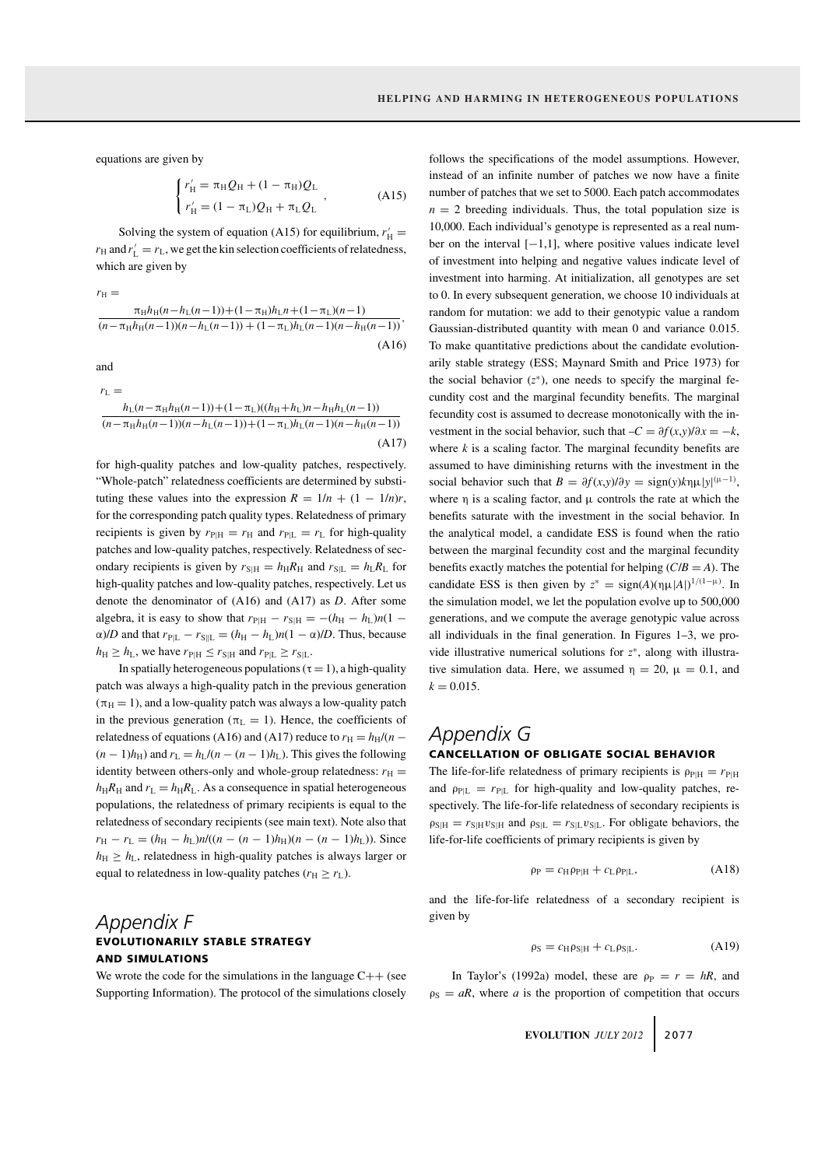equations are given by

$$
\begin{cases} r'_{\rm H} = \pi_{\rm H} Q_{\rm H} + (1 - \pi_{\rm H}) Q_{\rm L} \\ r'_{\rm H} = (1 - \pi_{\rm L}) Q_{\rm H} + \pi_{\rm L} Q_{\rm L} \end{cases}, \tag{A15}
$$

Solving the system of equation (A15) for equilibrium,  $r'_H =$  $r_{\rm H}$  and  $r'_{\rm L} = r_{\rm L}$ , we get the kin selection coefficients of relatedness, which are given by

 $r_{\rm H} =$ 

 $\pi_H h_H(n-h_L(n-1)) + (1-\pi_H)h_L n + (1-\pi_L)(n-1)$  $\overline{(n-\pi_Hh_H(n-1))(n-h_L(n-1)) + (1-\pi_L)h_L(n-1)(n-h_H(n-1))}$ (A16)

and

$$
r_{\rm L} =
$$
  
\n
$$
\frac{h_{\rm L}(n - \pi_{\rm H}h_{\rm H}(n-1)) + (1 - \pi_{\rm L})((h_{\rm H} + h_{\rm L})n - h_{\rm H}h_{\rm L}(n-1))}{(n - \pi_{\rm H}h_{\rm H}(n-1))(n - h_{\rm L}(n-1)) + (1 - \pi_{\rm L})h_{\rm L}(n-1)(n - h_{\rm H}(n-1))}
$$
\n(A17)

for high-quality patches and low-quality patches, respectively. "Whole-patch" relatedness coefficients are determined by substituting these values into the expression  $R = 1/n + (1 - 1/n)r$ , for the corresponding patch quality types. Relatedness of primary recipients is given by  $r_{\text{PH}} = r_{\text{H}}$  and  $r_{\text{PL}} = r_{\text{L}}$  for high-quality patches and low-quality patches, respectively. Relatedness of secondary recipients is given by  $r_{S|H} = h_H R_H$  and  $r_{S|L} = h_L R_L$  for high-quality patches and low-quality patches, respectively. Let us denote the denominator of (A16) and (A17) as *D*. After some algebra, it is easy to show that  $r_{\text{PIH}} - r_{\text{SIH}} = -(h_{\text{H}} - h_{\text{L}})n(1 \alpha$ /*D* and that  $r_{\text{PIL}} - r_{\text{SILL}} = (h_{\text{H}} - h_{\text{L}})n(1 - \alpha)$ /*D*. Thus, because  $h_{\text{H}} \geq h_{\text{L}}$ , we have  $r_{\text{P|H}} \leq r_{\text{S|H}}$  and  $r_{\text{P|L}} \geq r_{\text{S|L}}$ .

In spatially heterogeneous populations ( $\tau = 1$ ), a high-quality patch was always a high-quality patch in the previous generation  $(\pi_H = 1)$ , and a low-quality patch was always a low-quality patch in the previous generation ( $\pi$ <sub>L</sub> = 1). Hence, the coefficients of relatedness of equations (A16) and (A17) reduce to  $r_H = h_H/(n (n-1)h_H$ ) and  $r_L = h_L/(n-(n-1)h_L)$ . This gives the following identity between others-only and whole-group relatedness:  $r<sub>H</sub>$  =  $h_{\text{H}}R_{\text{H}}$  and  $r_{\text{L}} = h_{\text{H}}R_{\text{L}}$ . As a consequence in spatial heterogeneous populations, the relatedness of primary recipients is equal to the relatedness of secondary recipients (see main text). Note also that  $r_{\rm H} - r_{\rm L} = (h_{\rm H} - h_{\rm L})n/((n - (n - 1)h_{\rm H})(n - (n - 1)h_{\rm L}))$ . Since  $h_{\rm H} \geq h_{\rm L}$ , relatedness in high-quality patches is always larger or equal to relatedness in low-quality patches ( $r_H \ge r_L$ ).

## *Appendix F* EVOLUTIONARILY STABLE STRATEGY AND SIMULATIONS

We wrote the code for the simulations in the language  $C++$  (see Supporting Information). The protocol of the simulations closely follows the specifications of the model assumptions. However, instead of an infinite number of patches we now have a finite number of patches that we set to 5000. Each patch accommodates  $n = 2$  breeding individuals. Thus, the total population size is 10,000. Each individual's genotype is represented as a real number on the interval  $[-1,1]$ , where positive values indicate level of investment into helping and negative values indicate level of investment into harming. At initialization, all genotypes are set to 0. In every subsequent generation, we choose 10 individuals at random for mutation: we add to their genotypic value a random Gaussian-distributed quantity with mean 0 and variance 0.015. To make quantitative predictions about the candidate evolutionarily stable strategy (ESS; Maynard Smith and Price 1973) for the social behavior  $(z^*)$ , one needs to specify the marginal fecundity cost and the marginal fecundity benefits. The marginal fecundity cost is assumed to decrease monotonically with the investment in the social behavior, such that  $-C = \partial f(x, y)/\partial x = -k$ , where  $k$  is a scaling factor. The marginal fecundity benefits are assumed to have diminishing returns with the investment in the social behavior such that  $B = \partial f(x,y)/\partial y = \text{sign}(y)k\eta\mu|y|^{(\mu-1)}$ , where  $\eta$  is a scaling factor, and  $\mu$  controls the rate at which the benefits saturate with the investment in the social behavior. In the analytical model, a candidate ESS is found when the ratio between the marginal fecundity cost and the marginal fecundity benefits exactly matches the potential for helping  $(C/B = A)$ . The candidate ESS is then given by  $z^* = \text{sign}(A)(\eta \mu |A|)^{1/(1-\mu)}$ . In the simulation model, we let the population evolve up to 500,000 generations, and we compute the average genotypic value across all individuals in the final generation. In Figures 1–3, we provide illustrative numerical solutions for *z*∗, along with illustrative simulation data. Here, we assumed  $\eta = 20$ ,  $\mu = 0.1$ , and  $k = 0.015$ .

## *Appendix G*

### CANCELLATION OF OBLIGATE SOCIAL BEHAVIOR

The life-for-life relatedness of primary recipients is  $\rho_{\text{PIH}} = r_{\text{PIH}}$ and  $\rho_{\text{PIL}} = r_{\text{PIL}}$  for high-quality and low-quality patches, respectively. The life-for-life relatedness of secondary recipients is  $\rho_{\text{S}|\text{H}} = r_{\text{S}|\text{H}}v_{\text{S}|\text{H}}$  and  $\rho_{\text{S}|\text{L}} = r_{\text{S}|\text{L}}v_{\text{S}|\text{L}}$ . For obligate behaviors, the life-for-life coefficients of primary recipients is given by

$$
\rho_P = c_H \rho_{P|H} + c_L \rho_{P|L}, \qquad (A18)
$$

and the life-for-life relatedness of a secondary recipient is given by

$$
\rho_{\rm S} = c_{\rm H} \rho_{\rm S|H} + c_{\rm L} \rho_{\rm S|L}.
$$
 (A19)

In Taylor's (1992a) model, these are  $\rho_P = r = hR$ , and  $\rho_S = aR$ , where *a* is the proportion of competition that occurs

**EVOLUTION** *JULY* 2012 2077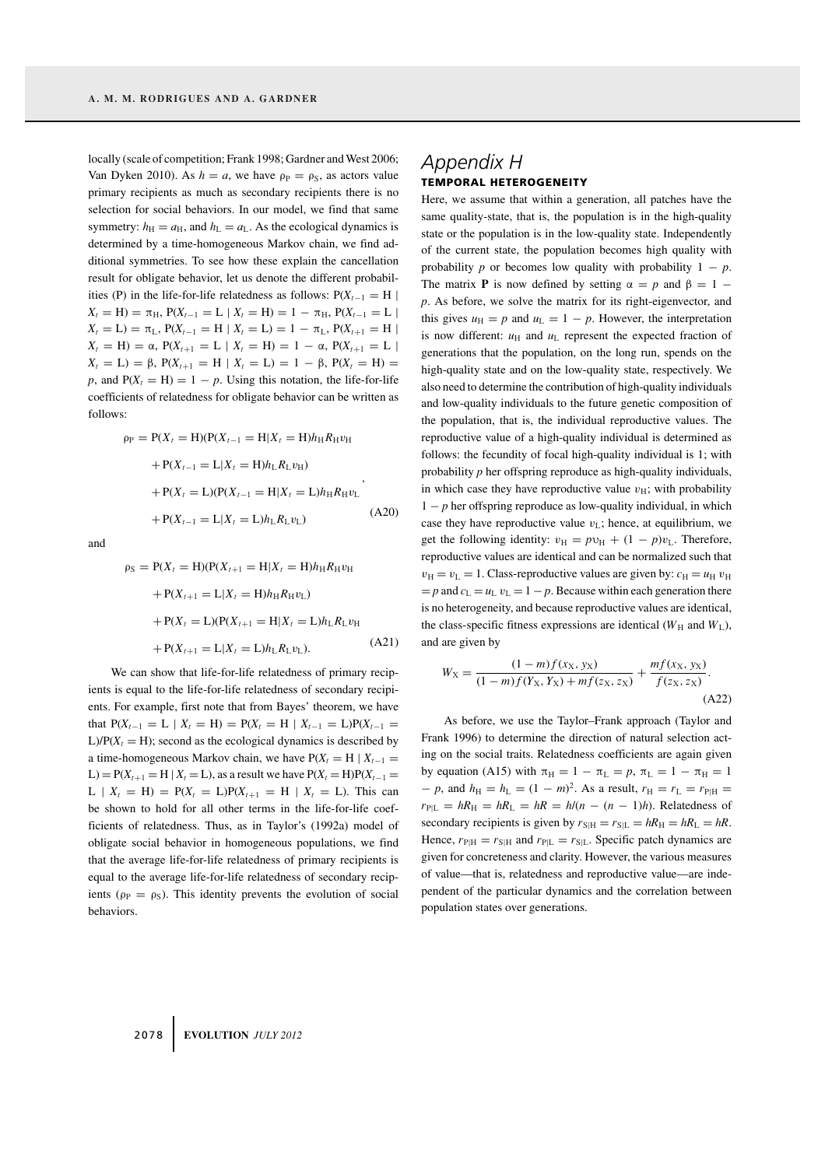locally (scale of competition; Frank 1998; Gardner and West 2006; Van Dyken 2010). As  $h = a$ , we have  $\rho_P = \rho_S$ , as actors value primary recipients as much as secondary recipients there is no selection for social behaviors. In our model, we find that same symmetry:  $h_{\text{H}} = a_{\text{H}}$ , and  $h_{\text{L}} = a_{\text{L}}$ . As the ecological dynamics is determined by a time-homogeneous Markov chain, we find additional symmetries. To see how these explain the cancellation result for obligate behavior, let us denote the different probabilities (P) in the life-for-life relatedness as follows:  $P(X_{t-1} = H |$  $X_t = H$ ) =  $\pi_H$ ,  $P(X_{t-1} = L | X_t = H) = 1 - \pi_H$ ,  $P(X_{t-1} = L |$  $X_t = L$ ) =  $\pi_L$ ,  $P(X_{t-1} = H | X_t = L) = 1 - \pi_L$ ,  $P(X_{t+1} = H |$  $X_t = H$ ) = α,  $P(X_{t+1} = L | X_t = H) = 1 - \alpha$ ,  $P(X_{t+1} = L |$  $X_t$  = L) = β, P( $X_{t+1}$  = H |  $X_t$  = L) = 1 – β, P( $X_t$  = H) = *p*, and  $P(X_t = H) = 1 - p$ . Using this notation, the life-for-life coefficients of relatedness for obligate behavior can be written as follows:

$$
\rho_P = P(X_t = H)(P(X_{t-1} = H | X_t = H)h_H R_H v_H
$$
  
+ P(X\_{t-1} = L | X\_t = H)h\_L R\_L v\_H)  
+ P(X\_t = L)(P(X\_{t-1} = H | X\_t = L)h\_H R\_H v\_L  
+ P(X\_{t-1} = L | X\_t = L)h\_L R\_L v\_L) (A20)

and

$$
P_{\rm S} = P(X_t = H)(P(X_{t+1} = H | X_t = H)h_{\rm H}R_{\rm H}v_{\rm H}
$$

$$
+ P(X_{t+1} = L | X_t = H)h_{\rm H}R_{\rm H}v_{\rm L})
$$

$$
+ P(X_t = L)(P(X_{t+1} = H | X_t = L)h_{\rm L}R_{\rm L}v_{\rm H}
$$

$$
+ P(X_{t+1} = L | X_t = L)h_{\rm L}R_{\rm L}v_{\rm L})
$$

$$
(A21)
$$

We can show that life-for-life relatedness of primary recipients is equal to the life-for-life relatedness of secondary recipients. For example, first note that from Bayes' theorem, we have that  $P(X_{t-1} = L | X_t = H) = P(X_t = H | X_{t-1} = L)P(X_{t-1} = H)$  $L$ )/ $P(X_t = H)$ ; second as the ecological dynamics is described by a time-homogeneous Markov chain, we have  $P(X_t = H | X_{t-1})$ L) = P( $X_{t+1}$  = H |  $X_t$  = L), as a result we have P( $X_t$  = H)P( $X_{t-1}$  =  $L \mid X_t = H$ ) =  $P(X_t = L)P(X_{t+1} = H \mid X_t = L)$ . This can be shown to hold for all other terms in the life-for-life coefficients of relatedness. Thus, as in Taylor's (1992a) model of obligate social behavior in homogeneous populations, we find that the average life-for-life relatedness of primary recipients is equal to the average life-for-life relatedness of secondary recipients ( $\rho_P = \rho_S$ ). This identity prevents the evolution of social behaviors.

### *Appendix H* TEMPORAL HETEROGENEITY

Here, we assume that within a generation, all patches have the same quality-state, that is, the population is in the high-quality state or the population is in the low-quality state. Independently of the current state, the population becomes high quality with probability *p* or becomes low quality with probability  $1 - p$ . The matrix **P** is now defined by setting  $\alpha = p$  and  $\beta = 1 - p$ *p*. As before, we solve the matrix for its right-eigenvector, and this gives  $u_H = p$  and  $u_L = 1 - p$ . However, the interpretation is now different:  $u_H$  and  $u_L$  represent the expected fraction of generations that the population, on the long run, spends on the high-quality state and on the low-quality state, respectively. We also need to determine the contribution of high-quality individuals and low-quality individuals to the future genetic composition of the population, that is, the individual reproductive values. The reproductive value of a high-quality individual is determined as follows: the fecundity of focal high-quality individual is 1; with probability *p* her offspring reproduce as high-quality individuals, in which case they have reproductive value  $v_H$ ; with probability 1 − *p* her offspring reproduce as low-quality individual, in which case they have reproductive value  $v<sub>L</sub>$ ; hence, at equilibrium, we get the following identity:  $v_H = pv_H + (1 - p)v_L$ . Therefore, reproductive values are identical and can be normalized such that  $v_{\rm H} = v_{\rm L} = 1$ . Class-reproductive values are given by:  $c_{\rm H} = u_{\rm H} v_{\rm H}$  $=$  *p* and  $c_L = u_L v_L = 1 - p$ . Because within each generation there is no heterogeneity, and because reproductive values are identical, the class-specific fitness expressions are identical  $(W_H$  and  $W_L$ ), and are given by

$$
W_{X} = \frac{(1-m)f(x_{X}, y_{X})}{(1-m)f(Y_{X}, Y_{X}) + mf(z_{X}, z_{X})} + \frac{mf(x_{X}, y_{X})}{f(z_{X}, z_{X})}.
$$
\n(A22)

As before, we use the Taylor–Frank approach (Taylor and Frank 1996) to determine the direction of natural selection acting on the social traits. Relatedness coefficients are again given by equation (A15) with  $\pi_H = 1 - \pi_L = p$ ,  $\pi_L = 1 - \pi_H = 1$  $-p$ , and  $h_H = h_L = (1 - m)^2$ . As a result,  $r_H = r_L = r_{P/H}$  $r_{\text{PIL}} = hR_H = hR_L = h/R = h/(n - (n - 1)h)$ . Relatedness of secondary recipients is given by  $r_{S|H} = r_{S|L} = hR_H = hR_L = hR$ . Hence,  $r_{\text{PIH}} = r_{\text{SIH}}$  and  $r_{\text{PIL}} = r_{\text{SIL}}$ . Specific patch dynamics are given for concreteness and clarity. However, the various measures of value—that is, relatedness and reproductive value—are independent of the particular dynamics and the correlation between population states over generations.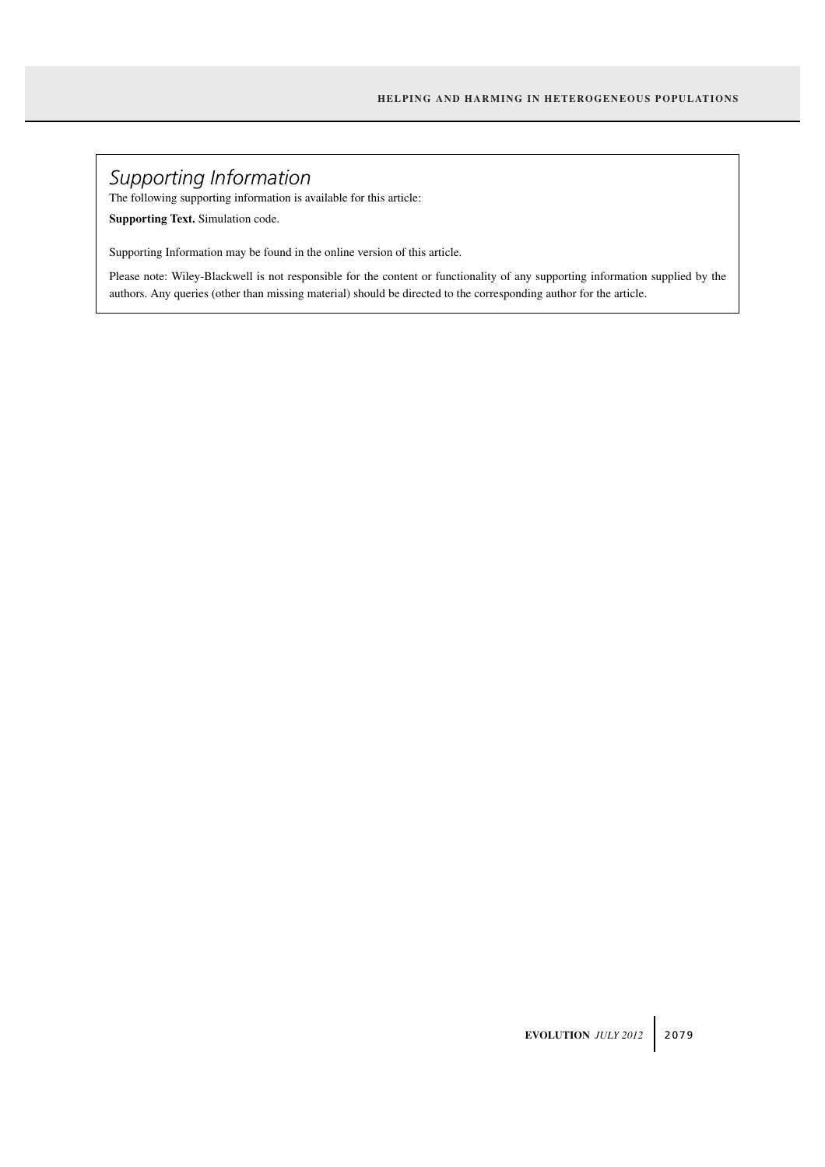## *Supporting Information*

The following supporting information is available for this article: **Supporting Text.** Simulation code.

Supporting Information may be found in the online version of this article.

Please note: Wiley-Blackwell is not responsible for the content or functionality of any supporting information supplied by the authors. Any queries (other than missing material) should be directed to the corresponding author for the article.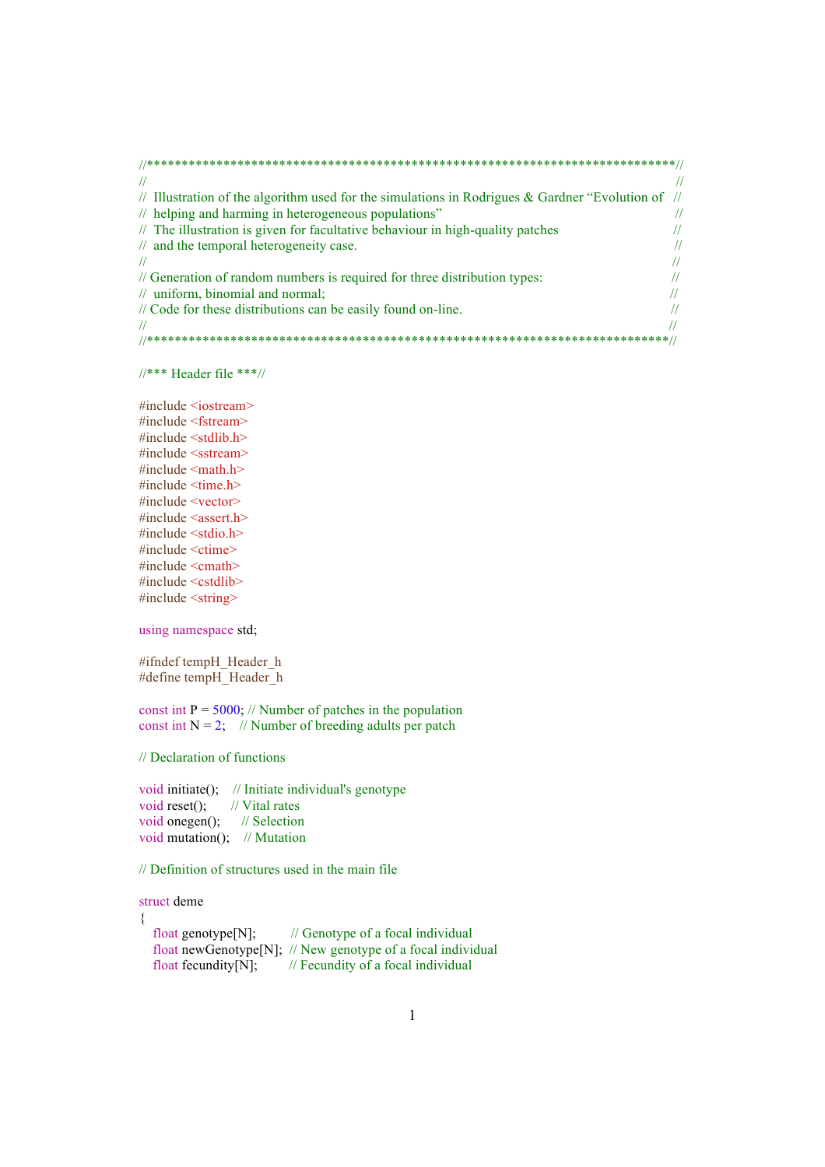| // Illustration of the algorithm used for the simulations in Rodrigues & Gardner "Evolution of $\#$ |  |
|-----------------------------------------------------------------------------------------------------|--|
| // helping and harming in heterogeneous populations"                                                |  |
| // The illustration is given for facultative behaviour in high-quality patches                      |  |
| // and the temporal heterogeneity case.                                                             |  |
|                                                                                                     |  |
| // Generation of random numbers is required for three distribution types:                           |  |
| $\frac{1}{2}$ uniform, binomial and normal;                                                         |  |
| // Code for these distributions can be easily found on-line.                                        |  |
|                                                                                                     |  |
|                                                                                                     |  |

```
//*** Header file ***//
```
#include <iostream> #include <fstream> #include <stdlib.h> #include <sstream> #include <math.h> #include <time.h> #include <vector> #include <assert.h> #include <stdio.h> #include <ctime> #include <cmath> #include <cstdlib> #include <string>

using namespace std;

#ifndef tempH\_Header\_h #define tempH\_Header\_h

const int  $P = 5000$ ; // Number of patches in the population const int  $N = 2$ ; // Number of breeding adults per patch

// Declaration of functions

void initiate(); // Initiate individual's genotype void reset();  $\frac{1}{1}$  Vital rates void onegen(); // Selection void mutation(); // Mutation

// Definition of structures used in the main file

struct deme

```
{
 float genotype[N]; // Genotype of a focal individual
  float newGenotype[N]; // New genotype of a focal individual
  float fecundity[N]; // Fecundity of a focal individual
```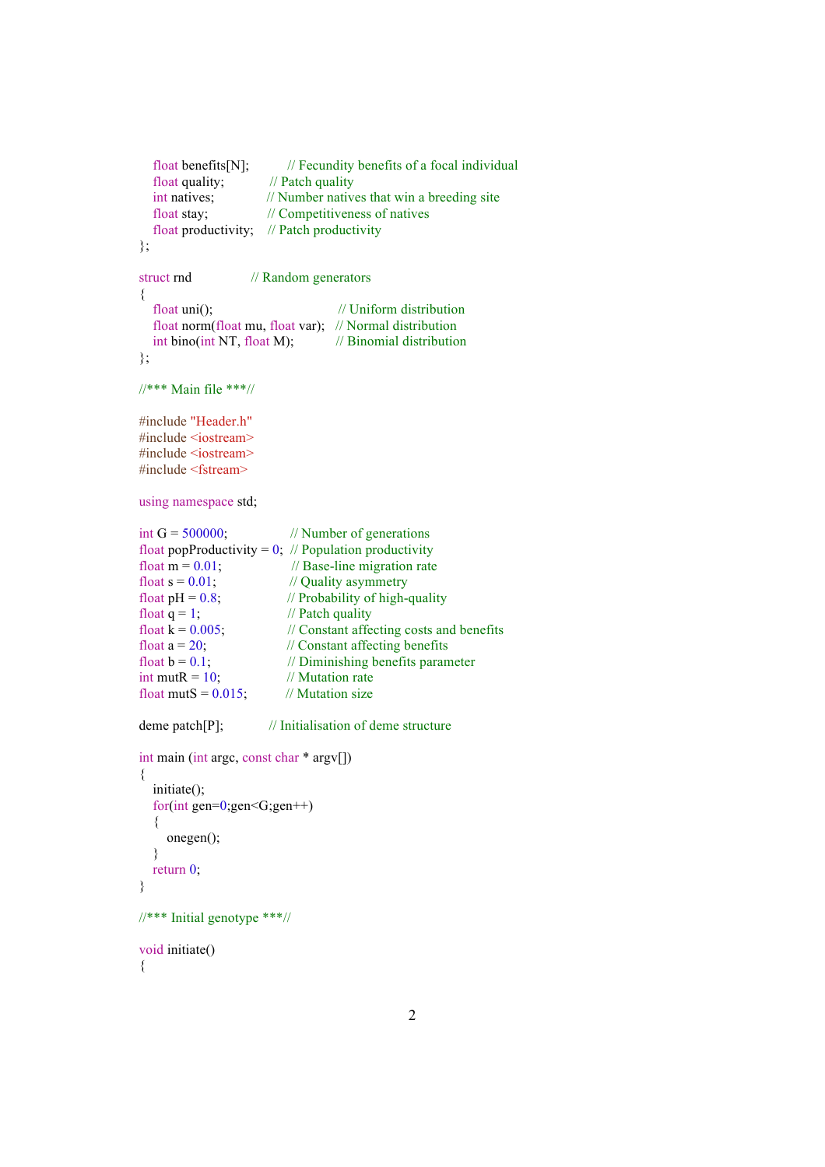```
float benefits[N]; // Fecundity benefits of a focal individual
  float quality; // Patch quality
  int natives; \frac{1}{2} // Number natives that win a breeding site
  float stay; \frac{1}{2} Competitiveness of natives
  float productivity; // Patch productivity
};
struct rnd // Random generators
{
  float uni(); \frac{1}{2} // Uniform distribution
   float norm(float mu, float var); // Normal distribution
  int bino(int NT, float M); // Binomial distribution
};
//*** Main file ***// 
#include "Header.h"
#include <iostream>
#include <iostream>
#include <fstream>
using namespace std;
int G = 500000; // Number of generations
float popProductivity = 0; // Population productivity
float m = 0.01; // Base-line migration rate
float s = 0.01; // Quality asymmetry
float pH = 0.8; // Probability of high-quality
float q = 1; // Patch quality
float \vec{k} = 0.005; // Constant affecting costs and benefits
float a = 20; // Constant affecting benefits
float b = 0.1; // Diminishing benefits parameter
int mutR = 10; // Mutation rate
float mutS = 0.015; // Mutation size
deme patch[P]; // Initialisation of deme structure
int main (int argc, const char * argv[])
{
  initiate():
  for(int gen=0;gen < G;gen + +)
   {
     onegen(); 
   }
   return 0;
}
//*** Initial genotype ***//
void initiate()
{
```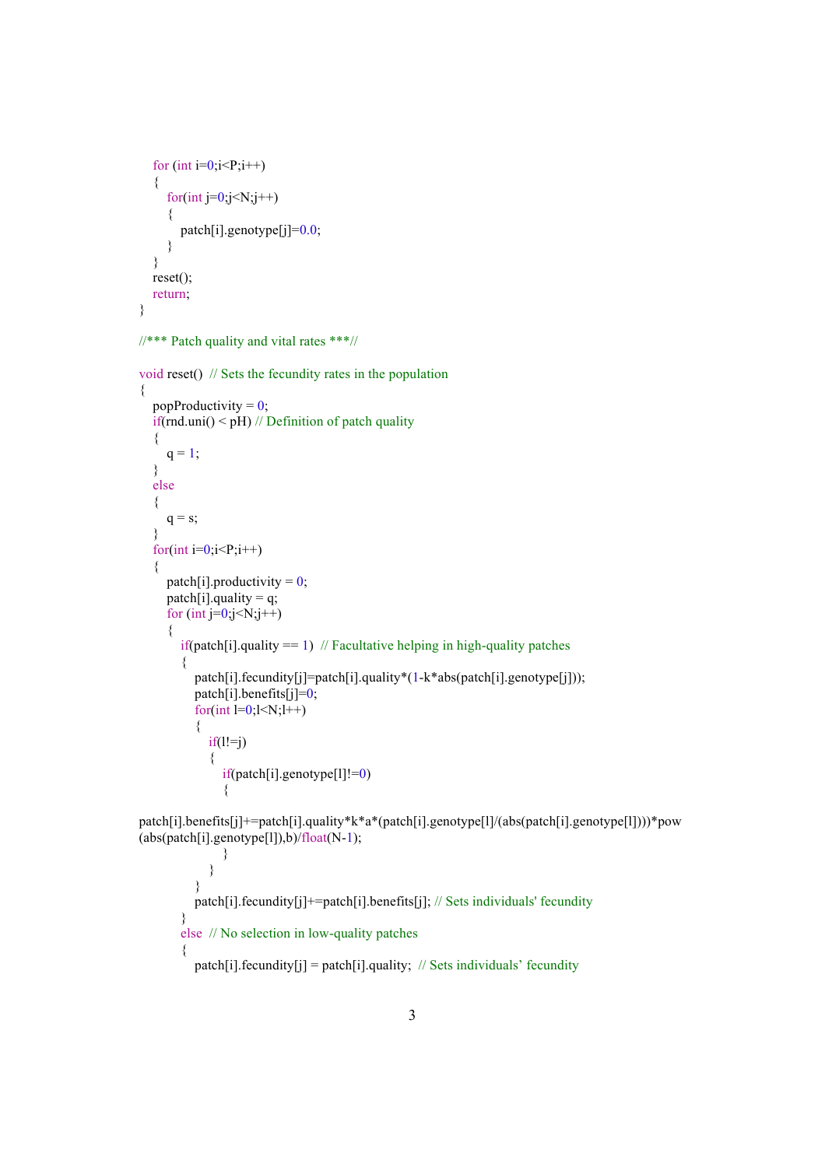```
for (int i=0; i < P; i++) {
     for(int j=0; j< N; j++) {
         patch[i].genotype[j]=0.0;
      }
    } 
   reset(); 
   return;
//*** Patch quality and vital rates ***//
void reset() // Sets the fecundity rates in the population
{
  popProductivity = 0;
   if(rnd.uni() < pH) // Definition of patch quality
    {
     q = 1;
    }
   else
    {
     q = s;
    } 
   for(int i=0; i < P; i++) {
     patch[i].productivity = 0;
     patch[i].quality = q;
     for (int j=0;j<N;j++)
      {
        if(patch[i].quality == 1) // Facultative helping in high-quality patches
         { 
           patch[i].fecundity[j]=patch[i].quality*(1-k*abs(patch[i].genotype[j]));
          patch[i].benefits[j]=0;
          for(int l=0; l < N; l++) {
             if(1!=j) {
                 if(patch[i].genotype[l]!=0)
\{
```
}

patch[i].benefits[j]+=patch[i].quality\*k\*a\*(patch[i].genotype[l]/(abs(patch[i].genotype[l])))\*pow (abs(patch[i].genotype[l]),b)/float(N-1);

```
 }
            }
 } 
          patch[i].fecundity[j]+=patch[i].benefits[j]; // Sets individuals' fecundity
        }
       else // No selection in low-quality patches
        {
         patch[i].fecundity[j] = patch[i].quality; \# Sets individuals' fecundity
```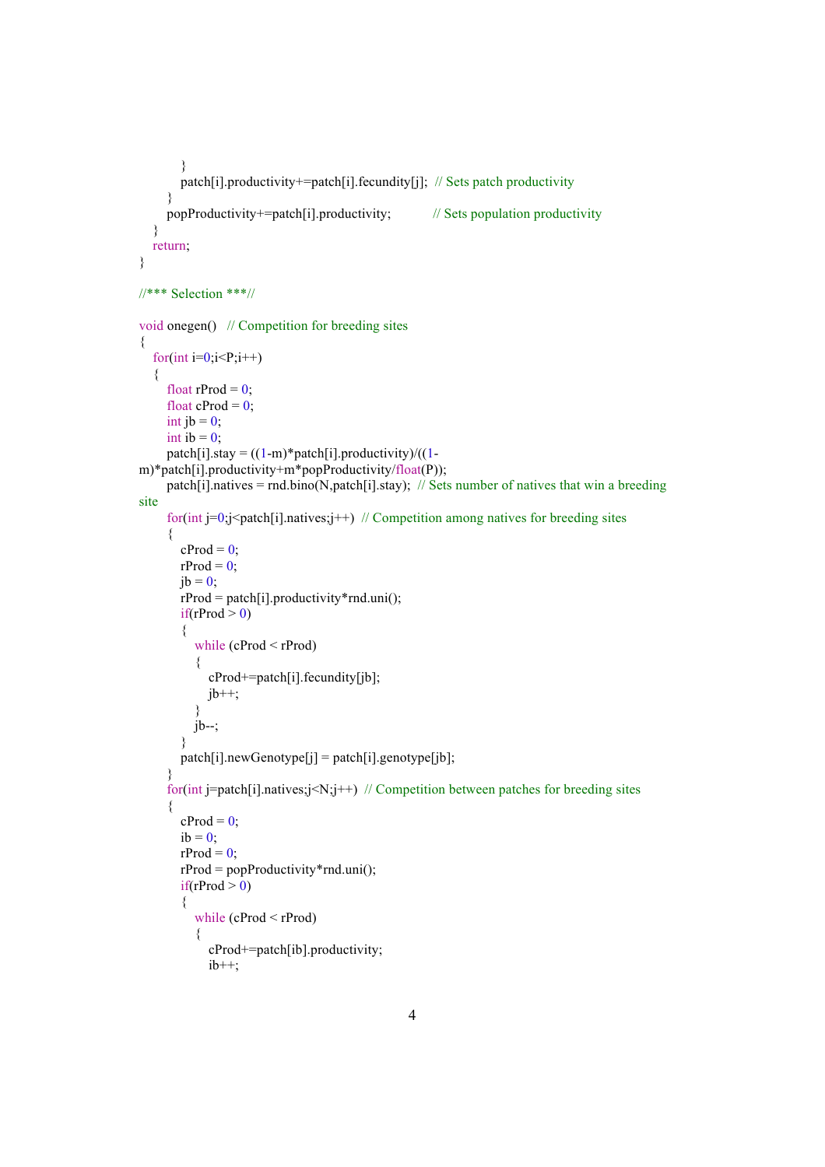```
 } 
       patch[i].productivity+=patch[i].fecundity[j]; // Sets patch productivity
      }
      popProductivity+=patch[i].productivity; // Sets population productivity
   } 
   return;
}
//*** Selection ***//
void onegen() // Competition for breeding sites
{
  for(int i=0;i<P;i++)
   {
     float rProd = 0;
     float cProd = 0;
     int jb = 0;
     int ib = 0;
     patch[i].stay = ((1-m)*patch[i].productivity)/((1-m)*patch[i].productivity+m*popProductivity/float(P));
     patch[i].natives = rnd.bino(N,patch[i].stay); // Sets number of natives that win a breeding
site
     for(int j=0;j<patch[i].natives;j++) // Competition among natives for breeding sites
      { 
       cProd = 0;
       rProd = 0;jb = 0;
        rProd = patch[i].productivity*rnd.uni();
       if(rProd > 0) {
           while (cProd < rProd) 
           {
             cProd+=patch[i].fecundity[jb];
             jb++;
           }
          jb--;
        }
       patch[i].newGenotype[i] = patch[i].genotype[i]; }
     for(int j=patch[i].natives;j<N;j++) // Competition between patches for breeding sites
      {
       cProd = 0;ib = 0;
       rProd = 0;rProd = popProductivity *rnd.util;
       if(rProd > 0) {
          while (cProd < rProd)
           {
             cProd+=patch[ib].productivity;
            ib++;
```